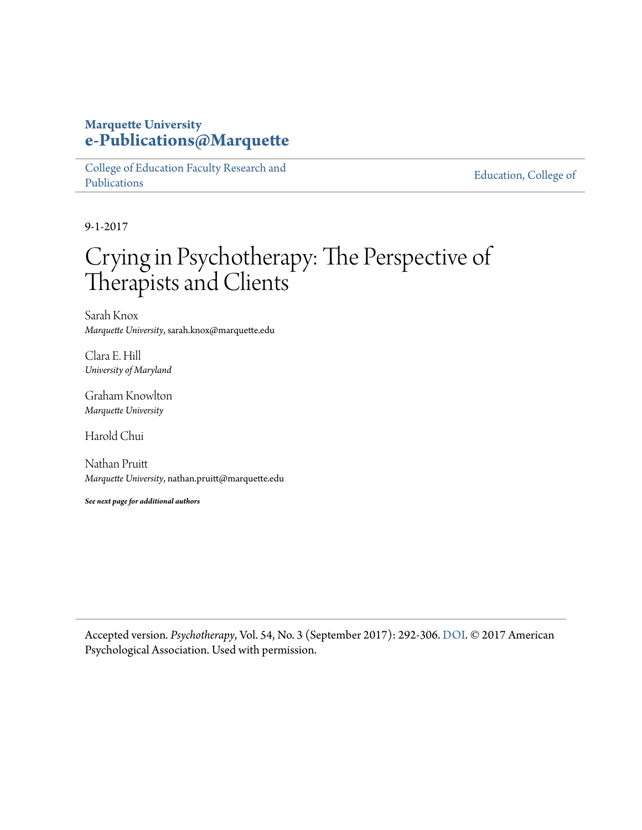## **Marquette University [e-Publications@Marquette](https://epublications.marquette.edu)**

[College of Education Faculty Research and](https://epublications.marquette.edu/edu_fac) [Publications](https://epublications.marquette.edu/edu_fac)

[Education, College of](https://epublications.marquette.edu/education)

9-1-2017

# Crying in Psychotherapy: The Perspective of Therapists and Clients

Sarah Knox *Marquette University*, sarah.knox@marquette.edu

Clara E. Hill *University of Maryland*

Graham Knowlton *Marquette University*

Harold Chui

Nathan Pruitt *Marquette University*, nathan.pruitt@marquette.edu

*See next page for additional authors*

Accepted version*. Psychotherapy*, Vol. 54, No. 3 (September 2017): 292-306. [DOI.](https://dx.doi.org/10.1037/pst0000123) © 2017 American Psychological Association. Used with permission.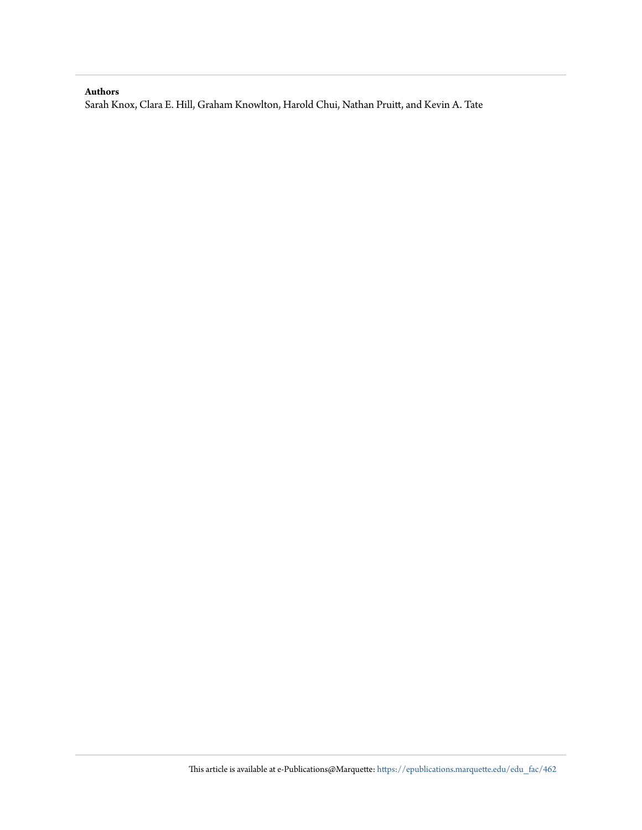#### **Authors**

Sarah Knox, Clara E. Hill, Graham Knowlton, Harold Chui, Nathan Pruitt, and Kevin A. Tate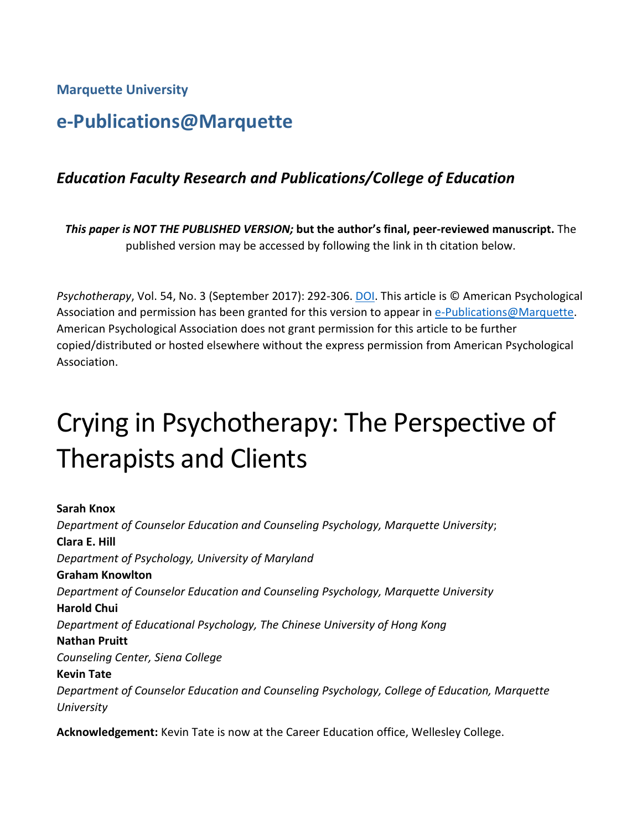**Marquette University**

# **e-Publications@Marquette**

## *Education Faculty Research and Publications/College of Education*

*This paper is NOT THE PUBLISHED VERSION;* **but the author's final, peer-reviewed manuscript.** The published version may be accessed by following the link in th citation below.

*Psychotherapy*, Vol. 54, No. 3 (September 2017): 292-306. [DOI.](https://doi.org/10.1037/pst0000123) This article is © American Psychological Association and permission has been granted for this version to appear in [e-Publications@Marquette.](http://epublications.marquette.edu/) American Psychological Association does not grant permission for this article to be further copied/distributed or hosted elsewhere without the express permission from American Psychological Association.

# Crying in Psychotherapy: The Perspective of Therapists and Clients

**Sarah Knox** *Department of Counselor Education and Counseling Psychology, Marquette University*; **Clara E. Hill** *Department of Psychology, University of Maryland* **Graham Knowlton** *Department of Counselor Education and Counseling Psychology, Marquette University* **Harold Chui** *Department of Educational Psychology, The Chinese University of Hong Kong* **Nathan Pruitt** *Counseling Center, Siena College* **Kevin Tate** *Department of Counselor Education and Counseling Psychology, College of Education, Marquette University*

**Acknowledgement:** Kevin Tate is now at the Career Education office, Wellesley College.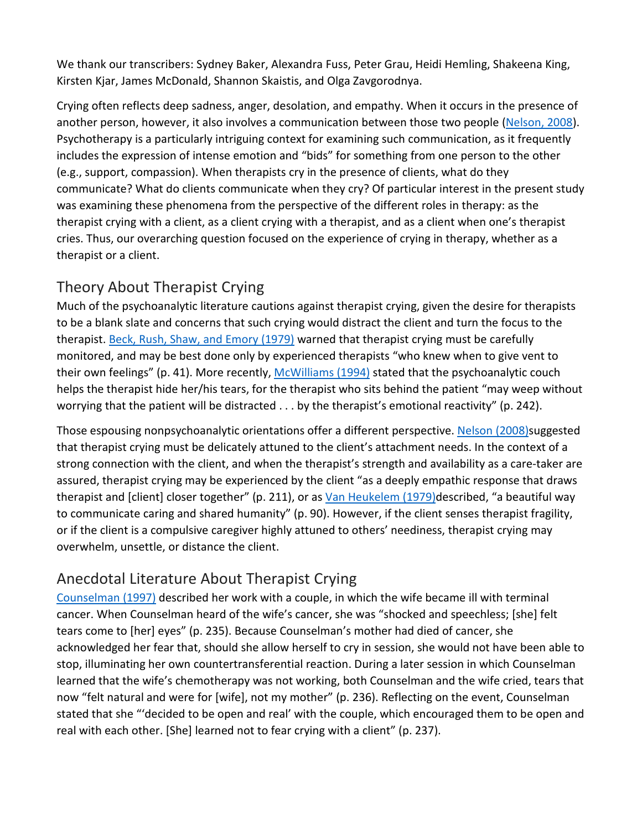We thank our transcribers: Sydney Baker, Alexandra Fuss, Peter Grau, Heidi Hemling, Shakeena King, Kirsten Kjar, James McDonald, Shannon Skaistis, and Olga Zavgorodnya.

Crying often reflects deep sadness, anger, desolation, and empathy. When it occurs in the presence of another person, however, it also involves a communication between those two people [\(Nelson, 2008\)](https://0-web-a-ebscohost-com.libus.csd.mu.edu/ehost/detail/detail?vid=0&sid=31a23438-ac1b-4d2c-92d0-63814aa9a694%40sessionmgr4007&bdata=JnNpdGU9ZWhvc3QtbGl2ZQ%3d%3d#c23). Psychotherapy is a particularly intriguing context for examining such communication, as it frequently includes the expression of intense emotion and "bids" for something from one person to the other (e.g., support, compassion). When therapists cry in the presence of clients, what do they communicate? What do clients communicate when they cry? Of particular interest in the present study was examining these phenomena from the perspective of the different roles in therapy: as the therapist crying with a client, as a client crying with a therapist, and as a client when one's therapist cries. Thus, our overarching question focused on the experience of crying in therapy, whether as a therapist or a client.

# [Theory About Therapist Crying](https://0-web-a-ebscohost-com.libus.csd.mu.edu/ehost/detail/detail?vid=0&sid=31a23438-ac1b-4d2c-92d0-63814aa9a694%40sessionmgr4007&bdata=JnNpdGU9ZWhvc3QtbGl2ZQ%3d%3d#toc)

Much of the psychoanalytic literature cautions against therapist crying, given the desire for therapists to be a blank slate and concerns that such crying would distract the client and turn the focus to the therapist. [Beck, Rush, Shaw, and Emory \(1979\)](https://0-web-a-ebscohost-com.libus.csd.mu.edu/ehost/detail/detail?vid=0&sid=31a23438-ac1b-4d2c-92d0-63814aa9a694%40sessionmgr4007&bdata=JnNpdGU9ZWhvc3QtbGl2ZQ%3d%3d#c3) warned that therapist crying must be carefully monitored, and may be best done only by experienced therapists "who knew when to give vent to their own feelings" (p. 41). More recently, [McWilliams \(1994\)](https://0-web-a-ebscohost-com.libus.csd.mu.edu/ehost/detail/detail?vid=0&sid=31a23438-ac1b-4d2c-92d0-63814aa9a694%40sessionmgr4007&bdata=JnNpdGU9ZWhvc3QtbGl2ZQ%3d%3d#c21) stated that the psychoanalytic couch helps the therapist hide her/his tears, for the therapist who sits behind the patient "may weep without worrying that the patient will be distracted . . . by the therapist's emotional reactivity" (p. 242).

Those espousing nonpsychoanalytic orientations offer a different perspective. [Nelson \(2008\)s](https://0-web-a-ebscohost-com.libus.csd.mu.edu/ehost/detail/detail?vid=0&sid=31a23438-ac1b-4d2c-92d0-63814aa9a694%40sessionmgr4007&bdata=JnNpdGU9ZWhvc3QtbGl2ZQ%3d%3d#c23)uggested that therapist crying must be delicately attuned to the client's attachment needs. In the context of a strong connection with the client, and when the therapist's strength and availability as a care-taker are assured, therapist crying may be experienced by the client "as a deeply empathic response that draws therapist and [client] closer together" (p. 211), or as [Van Heukelem \(1979\)d](https://0-web-a-ebscohost-com.libus.csd.mu.edu/ehost/detail/detail?vid=0&sid=31a23438-ac1b-4d2c-92d0-63814aa9a694%40sessionmgr4007&bdata=JnNpdGU9ZWhvc3QtbGl2ZQ%3d%3d#c30)escribed, "a beautiful way to communicate caring and shared humanity" (p. 90). However, if the client senses therapist fragility, or if the client is a compulsive caregiver highly attuned to others' neediness, therapist crying may overwhelm, unsettle, or distance the client.

# [Anecdotal Literature About Therapist Crying](https://0-web-a-ebscohost-com.libus.csd.mu.edu/ehost/detail/detail?vid=0&sid=31a23438-ac1b-4d2c-92d0-63814aa9a694%40sessionmgr4007&bdata=JnNpdGU9ZWhvc3QtbGl2ZQ%3d%3d#toc)

[Counselman \(1997\)](https://0-web-a-ebscohost-com.libus.csd.mu.edu/ehost/detail/detail?vid=0&sid=31a23438-ac1b-4d2c-92d0-63814aa9a694%40sessionmgr4007&bdata=JnNpdGU9ZWhvc3QtbGl2ZQ%3d%3d#c8) described her work with a couple, in which the wife became ill with terminal cancer. When Counselman heard of the wife's cancer, she was "shocked and speechless; [she] felt tears come to [her] eyes" (p. 235). Because Counselman's mother had died of cancer, she acknowledged her fear that, should she allow herself to cry in session, she would not have been able to stop, illuminating her own countertransferential reaction. During a later session in which Counselman learned that the wife's chemotherapy was not working, both Counselman and the wife cried, tears that now "felt natural and were for [wife], not my mother" (p. 236). Reflecting on the event, Counselman stated that she "'decided to be open and real' with the couple, which encouraged them to be open and real with each other. [She] learned not to fear crying with a client" (p. 237).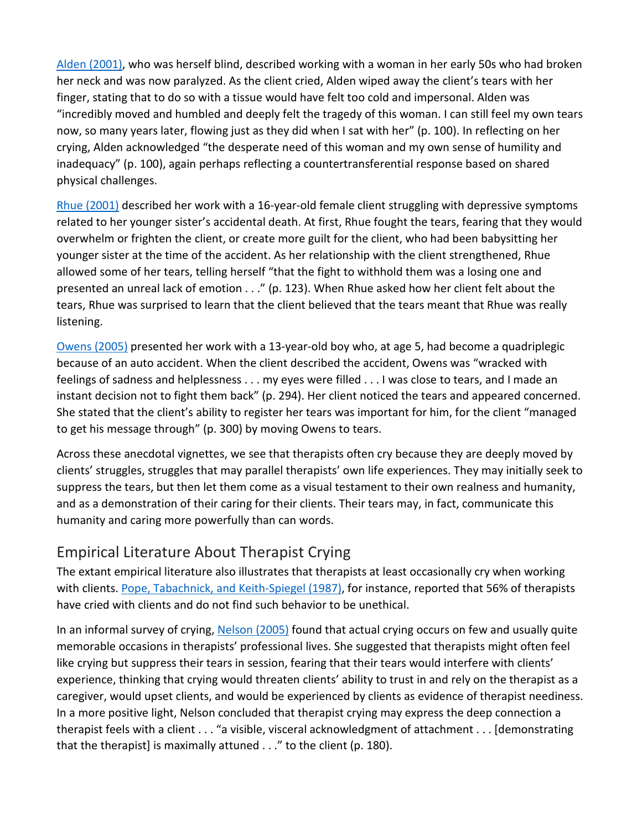[Alden \(2001\),](https://0-web-a-ebscohost-com.libus.csd.mu.edu/ehost/detail/detail?vid=0&sid=31a23438-ac1b-4d2c-92d0-63814aa9a694%40sessionmgr4007&bdata=JnNpdGU9ZWhvc3QtbGl2ZQ%3d%3d#c2) who was herself blind, described working with a woman in her early 50s who had broken her neck and was now paralyzed. As the client cried, Alden wiped away the client's tears with her finger, stating that to do so with a tissue would have felt too cold and impersonal. Alden was "incredibly moved and humbled and deeply felt the tragedy of this woman. I can still feel my own tears now, so many years later, flowing just as they did when I sat with her" (p. 100). In reflecting on her crying, Alden acknowledged "the desperate need of this woman and my own sense of humility and inadequacy" (p. 100), again perhaps reflecting a countertransferential response based on shared physical challenges.

[Rhue \(2001\)](https://0-web-a-ebscohost-com.libus.csd.mu.edu/ehost/detail/detail?vid=0&sid=31a23438-ac1b-4d2c-92d0-63814aa9a694%40sessionmgr4007&bdata=JnNpdGU9ZWhvc3QtbGl2ZQ%3d%3d#c26) described her work with a 16-year-old female client struggling with depressive symptoms related to her younger sister's accidental death. At first, Rhue fought the tears, fearing that they would overwhelm or frighten the client, or create more guilt for the client, who had been babysitting her younger sister at the time of the accident. As her relationship with the client strengthened, Rhue allowed some of her tears, telling herself "that the fight to withhold them was a losing one and presented an unreal lack of emotion . . ." (p. 123). When Rhue asked how her client felt about the tears, Rhue was surprised to learn that the client believed that the tears meant that Rhue was really listening.

[Owens \(2005\)](https://0-web-a-ebscohost-com.libus.csd.mu.edu/ehost/detail/detail?vid=0&sid=31a23438-ac1b-4d2c-92d0-63814aa9a694%40sessionmgr4007&bdata=JnNpdGU9ZWhvc3QtbGl2ZQ%3d%3d#c24) presented her work with a 13-year-old boy who, at age 5, had become a quadriplegic because of an auto accident. When the client described the accident, Owens was "wracked with feelings of sadness and helplessness . . . my eyes were filled . . . I was close to tears, and I made an instant decision not to fight them back" (p. 294). Her client noticed the tears and appeared concerned. She stated that the client's ability to register her tears was important for him, for the client "managed to get his message through" (p. 300) by moving Owens to tears.

Across these anecdotal vignettes, we see that therapists often cry because they are deeply moved by clients' struggles, struggles that may parallel therapists' own life experiences. They may initially seek to suppress the tears, but then let them come as a visual testament to their own realness and humanity, and as a demonstration of their caring for their clients. Their tears may, in fact, communicate this humanity and caring more powerfully than can words.

## [Empirical Literature About Therapist Crying](https://0-web-a-ebscohost-com.libus.csd.mu.edu/ehost/detail/detail?vid=0&sid=31a23438-ac1b-4d2c-92d0-63814aa9a694%40sessionmgr4007&bdata=JnNpdGU9ZWhvc3QtbGl2ZQ%3d%3d#toc)

The extant empirical literature also illustrates that therapists at least occasionally cry when working with clients. [Pope, Tabachnick, and Keith-Spiegel \(1987\),](https://0-web-a-ebscohost-com.libus.csd.mu.edu/ehost/detail/detail?vid=0&sid=31a23438-ac1b-4d2c-92d0-63814aa9a694%40sessionmgr4007&bdata=JnNpdGU9ZWhvc3QtbGl2ZQ%3d%3d#c25) for instance, reported that 56% of therapists have cried with clients and do not find such behavior to be unethical.

In an informal survey of crying, [Nelson \(2005\)](https://0-web-a-ebscohost-com.libus.csd.mu.edu/ehost/detail/detail?vid=0&sid=31a23438-ac1b-4d2c-92d0-63814aa9a694%40sessionmgr4007&bdata=JnNpdGU9ZWhvc3QtbGl2ZQ%3d%3d#c22) found that actual crying occurs on few and usually quite memorable occasions in therapists' professional lives. She suggested that therapists might often feel like crying but suppress their tears in session, fearing that their tears would interfere with clients' experience, thinking that crying would threaten clients' ability to trust in and rely on the therapist as a caregiver, would upset clients, and would be experienced by clients as evidence of therapist neediness. In a more positive light, Nelson concluded that therapist crying may express the deep connection a therapist feels with a client . . . "a visible, visceral acknowledgment of attachment . . . [demonstrating that the therapist] is maximally attuned . . ." to the client (p. 180).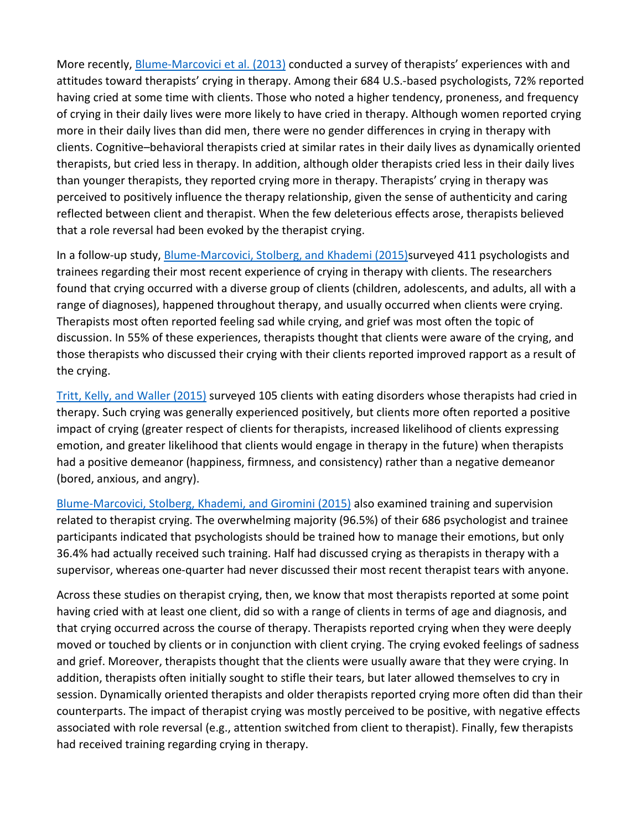More recently, [Blume-Marcovici et al. \(2013\)](https://0-web-a-ebscohost-com.libus.csd.mu.edu/ehost/detail/detail?vid=0&sid=31a23438-ac1b-4d2c-92d0-63814aa9a694%40sessionmgr4007&bdata=JnNpdGU9ZWhvc3QtbGl2ZQ%3d%3d#c4) conducted a survey of therapists' experiences with and attitudes toward therapists' crying in therapy. Among their 684 U.S.-based psychologists, 72% reported having cried at some time with clients. Those who noted a higher tendency, proneness, and frequency of crying in their daily lives were more likely to have cried in therapy. Although women reported crying more in their daily lives than did men, there were no gender differences in crying in therapy with clients. Cognitive–behavioral therapists cried at similar rates in their daily lives as dynamically oriented therapists, but cried less in therapy. In addition, although older therapists cried less in their daily lives than younger therapists, they reported crying more in therapy. Therapists' crying in therapy was perceived to positively influence the therapy relationship, given the sense of authenticity and caring reflected between client and therapist. When the few deleterious effects arose, therapists believed that a role reversal had been evoked by the therapist crying.

In a follow-up study, [Blume-Marcovici, Stolberg, and Khademi \(2015\)s](https://0-web-a-ebscohost-com.libus.csd.mu.edu/ehost/detail/detail?vid=0&sid=31a23438-ac1b-4d2c-92d0-63814aa9a694%40sessionmgr4007&bdata=JnNpdGU9ZWhvc3QtbGl2ZQ%3d%3d#c5)urveyed 411 psychologists and trainees regarding their most recent experience of crying in therapy with clients. The researchers found that crying occurred with a diverse group of clients (children, adolescents, and adults, all with a range of diagnoses), happened throughout therapy, and usually occurred when clients were crying. Therapists most often reported feeling sad while crying, and grief was most often the topic of discussion. In 55% of these experiences, therapists thought that clients were aware of the crying, and those therapists who discussed their crying with their clients reported improved rapport as a result of the crying.

[Tritt, Kelly, and Waller \(2015\)](https://0-web-a-ebscohost-com.libus.csd.mu.edu/ehost/detail/detail?vid=0&sid=31a23438-ac1b-4d2c-92d0-63814aa9a694%40sessionmgr4007&bdata=JnNpdGU9ZWhvc3QtbGl2ZQ%3d%3d#c29) surveyed 105 clients with eating disorders whose therapists had cried in therapy. Such crying was generally experienced positively, but clients more often reported a positive impact of crying (greater respect of clients for therapists, increased likelihood of clients expressing emotion, and greater likelihood that clients would engage in therapy in the future) when therapists had a positive demeanor (happiness, firmness, and consistency) rather than a negative demeanor (bored, anxious, and angry).

[Blume-Marcovici, Stolberg, Khademi, and Giromini \(2015\)](https://0-web-a-ebscohost-com.libus.csd.mu.edu/ehost/detail/detail?vid=0&sid=31a23438-ac1b-4d2c-92d0-63814aa9a694%40sessionmgr4007&bdata=JnNpdGU9ZWhvc3QtbGl2ZQ%3d%3d#c6) also examined training and supervision related to therapist crying. The overwhelming majority (96.5%) of their 686 psychologist and trainee participants indicated that psychologists should be trained how to manage their emotions, but only 36.4% had actually received such training. Half had discussed crying as therapists in therapy with a supervisor, whereas one-quarter had never discussed their most recent therapist tears with anyone.

Across these studies on therapist crying, then, we know that most therapists reported at some point having cried with at least one client, did so with a range of clients in terms of age and diagnosis, and that crying occurred across the course of therapy. Therapists reported crying when they were deeply moved or touched by clients or in conjunction with client crying. The crying evoked feelings of sadness and grief. Moreover, therapists thought that the clients were usually aware that they were crying. In addition, therapists often initially sought to stifle their tears, but later allowed themselves to cry in session. Dynamically oriented therapists and older therapists reported crying more often did than their counterparts. The impact of therapist crying was mostly perceived to be positive, with negative effects associated with role reversal (e.g., attention switched from client to therapist). Finally, few therapists had received training regarding crying in therapy.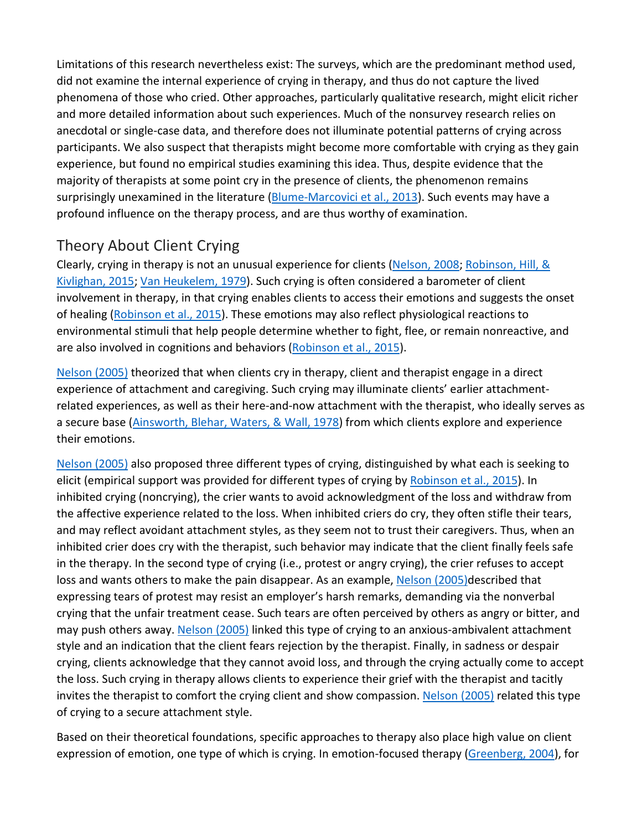Limitations of this research nevertheless exist: The surveys, which are the predominant method used, did not examine the internal experience of crying in therapy, and thus do not capture the lived phenomena of those who cried. Other approaches, particularly qualitative research, might elicit richer and more detailed information about such experiences. Much of the nonsurvey research relies on anecdotal or single-case data, and therefore does not illuminate potential patterns of crying across participants. We also suspect that therapists might become more comfortable with crying as they gain experience, but found no empirical studies examining this idea. Thus, despite evidence that the majority of therapists at some point cry in the presence of clients, the phenomenon remains surprisingly unexamined in the literature [\(Blume-Marcovici et al., 2013\)](https://0-web-a-ebscohost-com.libus.csd.mu.edu/ehost/detail/detail?vid=0&sid=31a23438-ac1b-4d2c-92d0-63814aa9a694%40sessionmgr4007&bdata=JnNpdGU9ZWhvc3QtbGl2ZQ%3d%3d#c4). Such events may have a profound influence on the therapy process, and are thus worthy of examination.

## [Theory About Client Crying](https://0-web-a-ebscohost-com.libus.csd.mu.edu/ehost/detail/detail?vid=0&sid=31a23438-ac1b-4d2c-92d0-63814aa9a694%40sessionmgr4007&bdata=JnNpdGU9ZWhvc3QtbGl2ZQ%3d%3d#toc)

Clearly, crying in therapy is not an unusual experience for clients [\(Nelson, 2008;](https://0-web-a-ebscohost-com.libus.csd.mu.edu/ehost/detail/detail?vid=0&sid=31a23438-ac1b-4d2c-92d0-63814aa9a694%40sessionmgr4007&bdata=JnNpdGU9ZWhvc3QtbGl2ZQ%3d%3d#c23) Robinson, Hill, & [Kivlighan, 2015;](https://0-web-a-ebscohost-com.libus.csd.mu.edu/ehost/detail/detail?vid=0&sid=31a23438-ac1b-4d2c-92d0-63814aa9a694%40sessionmgr4007&bdata=JnNpdGU9ZWhvc3QtbGl2ZQ%3d%3d#c27) [Van Heukelem, 1979\)](https://0-web-a-ebscohost-com.libus.csd.mu.edu/ehost/detail/detail?vid=0&sid=31a23438-ac1b-4d2c-92d0-63814aa9a694%40sessionmgr4007&bdata=JnNpdGU9ZWhvc3QtbGl2ZQ%3d%3d#c30). Such crying is often considered a barometer of client involvement in therapy, in that crying enables clients to access their emotions and suggests the onset of healing [\(Robinson et al., 2015\)](https://0-web-a-ebscohost-com.libus.csd.mu.edu/ehost/detail/detail?vid=0&sid=31a23438-ac1b-4d2c-92d0-63814aa9a694%40sessionmgr4007&bdata=JnNpdGU9ZWhvc3QtbGl2ZQ%3d%3d#c27). These emotions may also reflect physiological reactions to environmental stimuli that help people determine whether to fight, flee, or remain nonreactive, and are also involved in cognitions and behaviors [\(Robinson et al., 2015\)](https://0-web-a-ebscohost-com.libus.csd.mu.edu/ehost/detail/detail?vid=0&sid=31a23438-ac1b-4d2c-92d0-63814aa9a694%40sessionmgr4007&bdata=JnNpdGU9ZWhvc3QtbGl2ZQ%3d%3d#c27).

[Nelson \(2005\)](https://0-web-a-ebscohost-com.libus.csd.mu.edu/ehost/detail/detail?vid=0&sid=31a23438-ac1b-4d2c-92d0-63814aa9a694%40sessionmgr4007&bdata=JnNpdGU9ZWhvc3QtbGl2ZQ%3d%3d#c22) theorized that when clients cry in therapy, client and therapist engage in a direct experience of attachment and caregiving. Such crying may illuminate clients' earlier attachmentrelated experiences, as well as their here-and-now attachment with the therapist, who ideally serves as a secure base [\(Ainsworth, Blehar, Waters, & Wall, 1978\)](https://0-web-a-ebscohost-com.libus.csd.mu.edu/ehost/detail/detail?vid=0&sid=31a23438-ac1b-4d2c-92d0-63814aa9a694%40sessionmgr4007&bdata=JnNpdGU9ZWhvc3QtbGl2ZQ%3d%3d#c1) from which clients explore and experience their emotions.

[Nelson \(2005\)](https://0-web-a-ebscohost-com.libus.csd.mu.edu/ehost/detail/detail?vid=0&sid=31a23438-ac1b-4d2c-92d0-63814aa9a694%40sessionmgr4007&bdata=JnNpdGU9ZWhvc3QtbGl2ZQ%3d%3d#c22) also proposed three different types of crying, distinguished by what each is seeking to elicit (empirical support was provided for different types of crying by [Robinson et al., 2015\)](https://0-web-a-ebscohost-com.libus.csd.mu.edu/ehost/detail/detail?vid=0&sid=31a23438-ac1b-4d2c-92d0-63814aa9a694%40sessionmgr4007&bdata=JnNpdGU9ZWhvc3QtbGl2ZQ%3d%3d#c27). In inhibited crying (noncrying), the crier wants to avoid acknowledgment of the loss and withdraw from the affective experience related to the loss. When inhibited criers do cry, they often stifle their tears, and may reflect avoidant attachment styles, as they seem not to trust their caregivers. Thus, when an inhibited crier does cry with the therapist, such behavior may indicate that the client finally feels safe in the therapy. In the second type of crying (i.e., protest or angry crying), the crier refuses to accept loss and wants others to make the pain disappear. As an example, [Nelson](https://0-web-a-ebscohost-com.libus.csd.mu.edu/ehost/detail/detail?vid=0&sid=31a23438-ac1b-4d2c-92d0-63814aa9a694%40sessionmgr4007&bdata=JnNpdGU9ZWhvc3QtbGl2ZQ%3d%3d#c22) (2005)described that expressing tears of protest may resist an employer's harsh remarks, demanding via the nonverbal crying that the unfair treatment cease. Such tears are often perceived by others as angry or bitter, and may push others away. [Nelson \(2005\)](https://0-web-a-ebscohost-com.libus.csd.mu.edu/ehost/detail/detail?vid=0&sid=31a23438-ac1b-4d2c-92d0-63814aa9a694%40sessionmgr4007&bdata=JnNpdGU9ZWhvc3QtbGl2ZQ%3d%3d#c22) linked this type of crying to an anxious-ambivalent attachment style and an indication that the client fears rejection by the therapist. Finally, in sadness or despair crying, clients acknowledge that they cannot avoid loss, and through the crying actually come to accept the loss. Such crying in therapy allows clients to experience their grief with the therapist and tacitly invites the therapist to comfort the crying client and show compassion. [Nelson \(2005\)](https://0-web-a-ebscohost-com.libus.csd.mu.edu/ehost/detail/detail?vid=0&sid=31a23438-ac1b-4d2c-92d0-63814aa9a694%40sessionmgr4007&bdata=JnNpdGU9ZWhvc3QtbGl2ZQ%3d%3d#c22) related this type of crying to a secure attachment style.

Based on their theoretical foundations, specific approaches to therapy also place high value on client expression of emotion, one type of which is crying. In emotion-focused therapy [\(Greenberg, 2004\)](https://0-web-a-ebscohost-com.libus.csd.mu.edu/ehost/detail/detail?vid=0&sid=31a23438-ac1b-4d2c-92d0-63814aa9a694%40sessionmgr4007&bdata=JnNpdGU9ZWhvc3QtbGl2ZQ%3d%3d#c10), for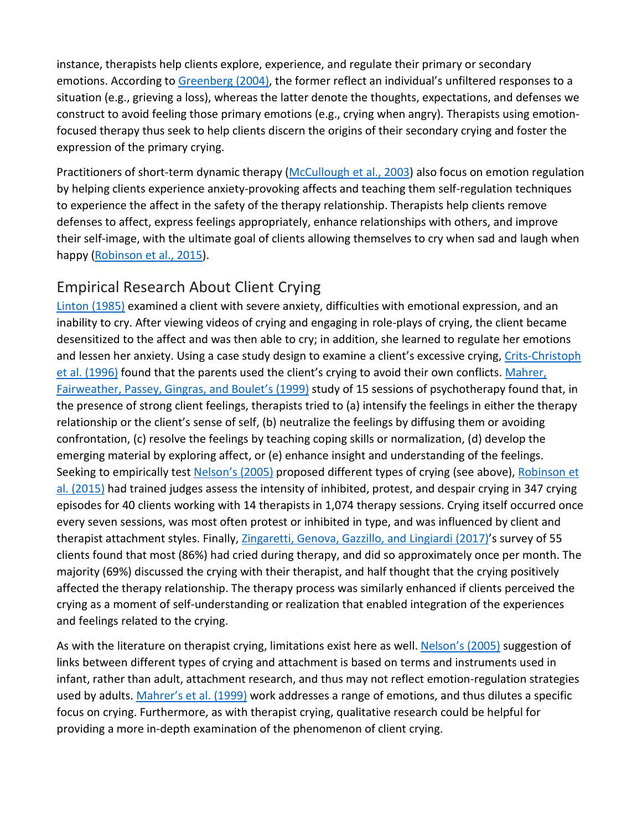instance, therapists help clients explore, experience, and regulate their primary or secondary emotions. According to [Greenberg \(2004\),](https://0-web-a-ebscohost-com.libus.csd.mu.edu/ehost/detail/detail?vid=0&sid=31a23438-ac1b-4d2c-92d0-63814aa9a694%40sessionmgr4007&bdata=JnNpdGU9ZWhvc3QtbGl2ZQ%3d%3d#c10) the former reflect an individual's unfiltered responses to a situation (e.g., grieving a loss), whereas the latter denote the thoughts, expectations, and defenses we construct to avoid feeling those primary emotions (e.g., crying when angry). Therapists using emotionfocused therapy thus seek to help clients discern the origins of their secondary crying and foster the expression of the primary crying.

Practitioners of short-term dynamic therapy [\(McCullough et al., 2003\)](https://0-web-a-ebscohost-com.libus.csd.mu.edu/ehost/detail/detail?vid=0&sid=31a23438-ac1b-4d2c-92d0-63814aa9a694%40sessionmgr4007&bdata=JnNpdGU9ZWhvc3QtbGl2ZQ%3d%3d#c20) also focus on emotion regulation by helping clients experience anxiety-provoking affects and teaching them self-regulation techniques to experience the affect in the safety of the therapy relationship. Therapists help clients remove defenses to affect, express feelings appropriately, enhance relationships with others, and improve their self-image, with the ultimate goal of clients allowing themselves to cry when sad and laugh when happy [\(Robinson et al., 2015\)](https://0-web-a-ebscohost-com.libus.csd.mu.edu/ehost/detail/detail?vid=0&sid=31a23438-ac1b-4d2c-92d0-63814aa9a694%40sessionmgr4007&bdata=JnNpdGU9ZWhvc3QtbGl2ZQ%3d%3d#c27).

## [Empirical Research About Client Crying](https://0-web-a-ebscohost-com.libus.csd.mu.edu/ehost/detail/detail?vid=0&sid=31a23438-ac1b-4d2c-92d0-63814aa9a694%40sessionmgr4007&bdata=JnNpdGU9ZWhvc3QtbGl2ZQ%3d%3d#toc)

[Linton \(1985\)](https://0-web-a-ebscohost-com.libus.csd.mu.edu/ehost/detail/detail?vid=0&sid=31a23438-ac1b-4d2c-92d0-63814aa9a694%40sessionmgr4007&bdata=JnNpdGU9ZWhvc3QtbGl2ZQ%3d%3d#c17) examined a client with severe anxiety, difficulties with emotional expression, and an inability to cry. After viewing videos of crying and engaging in role-plays of crying, the client became desensitized to the affect and was then able to cry; in addition, she learned to regulate her emotions and lessen her anxiety. Using a case study design to examine a client's excessive crying, Crits-Christoph [et al. \(1996\)](https://0-web-a-ebscohost-com.libus.csd.mu.edu/ehost/detail/detail?vid=0&sid=31a23438-ac1b-4d2c-92d0-63814aa9a694%40sessionmgr4007&bdata=JnNpdGU9ZWhvc3QtbGl2ZQ%3d%3d#c9) found that the parents used the client's crying to avoid their own conflicts. [Mahrer,](https://0-web-a-ebscohost-com.libus.csd.mu.edu/ehost/detail/detail?vid=0&sid=31a23438-ac1b-4d2c-92d0-63814aa9a694%40sessionmgr4007&bdata=JnNpdGU9ZWhvc3QtbGl2ZQ%3d%3d#c18)  [Fairweather, Passey, Gingras, and Boulet's \(1999\)](https://0-web-a-ebscohost-com.libus.csd.mu.edu/ehost/detail/detail?vid=0&sid=31a23438-ac1b-4d2c-92d0-63814aa9a694%40sessionmgr4007&bdata=JnNpdGU9ZWhvc3QtbGl2ZQ%3d%3d#c18) study of 15 sessions of psychotherapy found that, in the presence of strong client feelings, therapists tried to (a) intensify the feelings in either the therapy relationship or the client's sense of self, (b) neutralize the feelings by diffusing them or avoiding confrontation, (c) resolve the feelings by teaching coping skills or normalization, (d) develop the emerging material by exploring affect, or (e) enhance insight and understanding of the feelings. Seeking to empirically test [Nelson's \(2005\)](https://0-web-a-ebscohost-com.libus.csd.mu.edu/ehost/detail/detail?vid=0&sid=31a23438-ac1b-4d2c-92d0-63814aa9a694%40sessionmgr4007&bdata=JnNpdGU9ZWhvc3QtbGl2ZQ%3d%3d#c22) proposed different types of crying (see above), Robinson et [al. \(2015\)](https://0-web-a-ebscohost-com.libus.csd.mu.edu/ehost/detail/detail?vid=0&sid=31a23438-ac1b-4d2c-92d0-63814aa9a694%40sessionmgr4007&bdata=JnNpdGU9ZWhvc3QtbGl2ZQ%3d%3d#c27) had trained judges assess the intensity of inhibited, protest, and despair crying in 347 crying episodes for 40 clients working with 14 therapists in 1,074 therapy sessions. Crying itself occurred once every seven sessions, was most often protest or inhibited in type, and was influenced by client and therapist attachment styles. Finally, [Zingaretti, Genova, Gazzillo, and Lingiardi \(2017\)'](https://0-web-a-ebscohost-com.libus.csd.mu.edu/ehost/detail/detail?vid=0&sid=31a23438-ac1b-4d2c-92d0-63814aa9a694%40sessionmgr4007&bdata=JnNpdGU9ZWhvc3QtbGl2ZQ%3d%3d#c31)s survey of 55 clients found that most (86%) had cried during therapy, and did so approximately once per month. The majority (69%) discussed the crying with their therapist, and half thought that the crying positively affected the therapy relationship. The therapy process was similarly enhanced if clients perceived the crying as a moment of self-understanding or realization that enabled integration of the experiences and feelings related to the crying.

As with the literature on therapist crying, limitations exist here as well. [Nelson's \(2005\)](https://0-web-a-ebscohost-com.libus.csd.mu.edu/ehost/detail/detail?vid=0&sid=31a23438-ac1b-4d2c-92d0-63814aa9a694%40sessionmgr4007&bdata=JnNpdGU9ZWhvc3QtbGl2ZQ%3d%3d#c22) suggestion of links between different types of crying and attachment is based on terms and instruments used in infant, rather than adult, attachment research, and thus may not reflect emotion-regulation strategies used by adults. [Mahrer's et al. \(1999\)](https://0-web-a-ebscohost-com.libus.csd.mu.edu/ehost/detail/detail?vid=0&sid=31a23438-ac1b-4d2c-92d0-63814aa9a694%40sessionmgr4007&bdata=JnNpdGU9ZWhvc3QtbGl2ZQ%3d%3d#c18) work addresses a range of emotions, and thus dilutes a specific focus on crying. Furthermore, as with therapist crying, qualitative research could be helpful for providing a more in-depth examination of the phenomenon of client crying.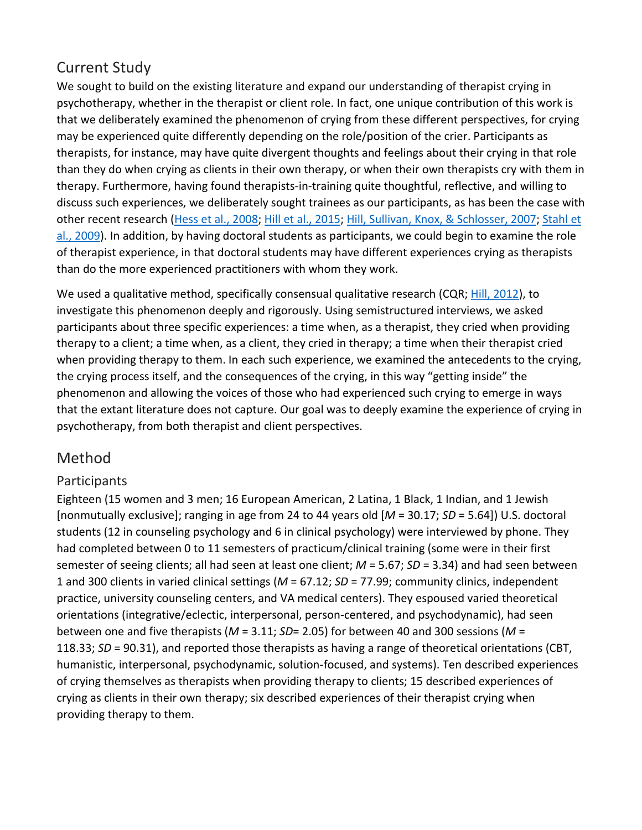## [Current Study](https://0-web-a-ebscohost-com.libus.csd.mu.edu/ehost/detail/detail?vid=0&sid=31a23438-ac1b-4d2c-92d0-63814aa9a694%40sessionmgr4007&bdata=JnNpdGU9ZWhvc3QtbGl2ZQ%3d%3d#toc)

We sought to build on the existing literature and expand our understanding of therapist crying in psychotherapy, whether in the therapist or client role. In fact, one unique contribution of this work is that we deliberately examined the phenomenon of crying from these different perspectives, for crying may be experienced quite differently depending on the role/position of the crier. Participants as therapists, for instance, may have quite divergent thoughts and feelings about their crying in that role than they do when crying as clients in their own therapy, or when their own therapists cry with them in therapy. Furthermore, having found therapists-in-training quite thoughtful, reflective, and willing to discuss such experiences, we deliberately sought trainees as our participants, as has been the case with other recent research (Hess et [al., 2008;](https://0-web-a-ebscohost-com.libus.csd.mu.edu/ehost/detail/detail?vid=0&sid=31a23438-ac1b-4d2c-92d0-63814aa9a694%40sessionmgr4007&bdata=JnNpdGU9ZWhvc3QtbGl2ZQ%3d%3d#c11) [Hill et al., 2015;](https://0-web-a-ebscohost-com.libus.csd.mu.edu/ehost/detail/detail?vid=0&sid=31a23438-ac1b-4d2c-92d0-63814aa9a694%40sessionmgr4007&bdata=JnNpdGU9ZWhvc3QtbGl2ZQ%3d%3d#c14) [Hill, Sullivan, Knox, & Schlosser, 2007;](https://0-web-a-ebscohost-com.libus.csd.mu.edu/ehost/detail/detail?vid=0&sid=31a23438-ac1b-4d2c-92d0-63814aa9a694%40sessionmgr4007&bdata=JnNpdGU9ZWhvc3QtbGl2ZQ%3d%3d#c16) [Stahl et](https://0-web-a-ebscohost-com.libus.csd.mu.edu/ehost/detail/detail?vid=0&sid=31a23438-ac1b-4d2c-92d0-63814aa9a694%40sessionmgr4007&bdata=JnNpdGU9ZWhvc3QtbGl2ZQ%3d%3d#c28)  [al., 2009\)](https://0-web-a-ebscohost-com.libus.csd.mu.edu/ehost/detail/detail?vid=0&sid=31a23438-ac1b-4d2c-92d0-63814aa9a694%40sessionmgr4007&bdata=JnNpdGU9ZWhvc3QtbGl2ZQ%3d%3d#c28). In addition, by having doctoral students as participants, we could begin to examine the role of therapist experience, in that doctoral students may have different experiences crying as therapists than do the more experienced practitioners with whom they work.

We used a qualitative method, specifically consensual qualitative research (CQR; [Hill, 2012\)](https://0-web-a-ebscohost-com.libus.csd.mu.edu/ehost/detail/detail?vid=0&sid=31a23438-ac1b-4d2c-92d0-63814aa9a694%40sessionmgr4007&bdata=JnNpdGU9ZWhvc3QtbGl2ZQ%3d%3d#c12), to investigate this phenomenon deeply and rigorously. Using semistructured interviews, we asked participants about three specific experiences: a time when, as a therapist, they cried when providing therapy to a client; a time when, as a client, they cried in therapy; a time when their therapist cried when providing therapy to them. In each such experience, we examined the antecedents to the crying, the crying process itself, and the consequences of the crying, in this way "getting inside" the phenomenon and allowing the voices of those who had experienced such crying to emerge in ways that the extant literature does not capture. Our goal was to deeply examine the experience of crying in psychotherapy, from both therapist and client perspectives.

## [Method](https://0-web-a-ebscohost-com.libus.csd.mu.edu/ehost/detail/detail?vid=0&sid=31a23438-ac1b-4d2c-92d0-63814aa9a694%40sessionmgr4007&bdata=JnNpdGU9ZWhvc3QtbGl2ZQ%3d%3d#toc)

## **Participants**

Eighteen (15 women and 3 men; 16 European American, 2 Latina, 1 Black, 1 Indian, and 1 Jewish [nonmutually exclusive]; ranging in age from 24 to 44 years old [*M* = 30.17; *SD* = 5.64]) U.S. doctoral students (12 in counseling psychology and 6 in clinical psychology) were interviewed by phone. They had completed between 0 to 11 semesters of practicum/clinical training (some were in their first semester of seeing clients; all had seen at least one client; *M* = 5.67; *SD* = 3.34) and had seen between 1 and 300 clients in varied clinical settings (*M* = 67.12; *SD* = 77.99; community clinics, independent practice, university counseling centers, and VA medical centers). They espoused varied theoretical orientations (integrative/eclectic, interpersonal, person-centered, and psychodynamic), had seen between one and five therapists (*M* = 3.11; *SD*= 2.05) for between 40 and 300 sessions (*M* = 118.33; *SD* = 90.31), and reported those therapists as having a range of theoretical orientations (CBT, humanistic, interpersonal, psychodynamic, solution-focused, and systems). Ten described experiences of crying themselves as therapists when providing therapy to clients; 15 described experiences of crying as clients in their own therapy; six described experiences of their therapist crying when providing therapy to them.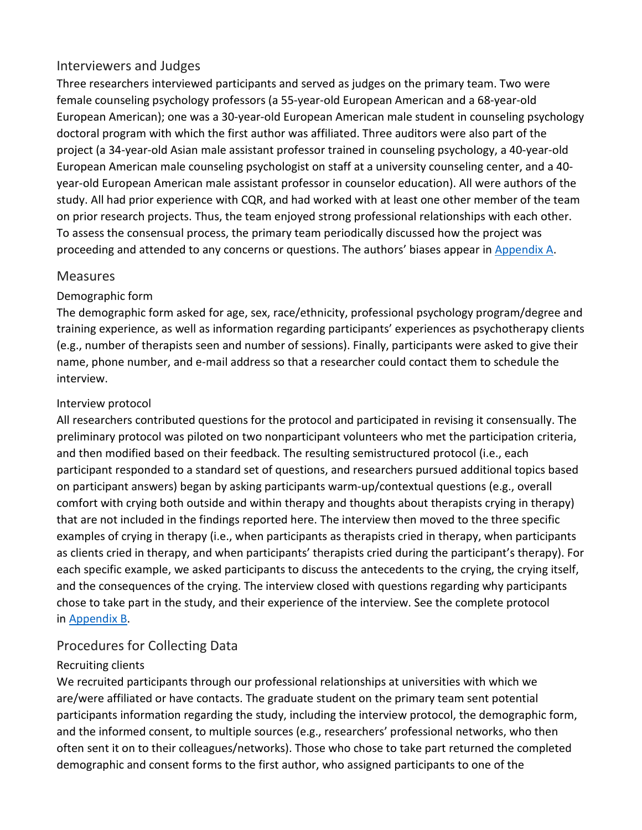## Interviewers and Judges

Three researchers interviewed participants and served as judges on the primary team. Two were female counseling psychology professors (a 55-year-old European American and a 68-year-old European American); one was a 30-year-old European American male student in counseling psychology doctoral program with which the first author was affiliated. Three auditors were also part of the project (a 34-year-old Asian male assistant professor trained in counseling psychology, a 40-year-old European American male counseling psychologist on staff at a university counseling center, and a 40 year-old European American male assistant professor in counselor education). All were authors of the study. All had prior experience with CQR, and had worked with at least one other member of the team on prior research projects. Thus, the team enjoyed strong professional relationships with each other. To assess the consensual process, the primary team periodically discussed how the project was proceeding and attended to any concerns or questions. The authors' biases appear in [Appendix A.](https://0-web-a-ebscohost-com.libus.csd.mu.edu/ehost/detail/detail?vid=0&sid=31a23438-ac1b-4d2c-92d0-63814aa9a694%40sessionmgr4007&bdata=JnNpdGU9ZWhvc3QtbGl2ZQ%3d%3d#A)

#### Measures

#### Demographic form

The demographic form asked for age, sex, race/ethnicity, professional psychology program/degree and training experience, as well as information regarding participants' experiences as psychotherapy clients (e.g., number of therapists seen and number of sessions). Finally, participants were asked to give their name, phone number, and e-mail address so that a researcher could contact them to schedule the interview.

#### Interview protocol

All researchers contributed questions for the protocol and participated in revising it consensually. The preliminary protocol was piloted on two nonparticipant volunteers who met the participation criteria, and then modified based on their feedback. The resulting semistructured protocol (i.e., each participant responded to a standard set of questions, and researchers pursued additional topics based on participant answers) began by asking participants warm-up/contextual questions (e.g., overall comfort with crying both outside and within therapy and thoughts about therapists crying in therapy) that are not included in the findings reported here. The interview then moved to the three specific examples of crying in therapy (i.e., when participants as therapists cried in therapy, when participants as clients cried in therapy, and when participants' therapists cried during the participant's therapy). For each specific example, we asked participants to discuss the antecedents to the crying, the crying itself, and the consequences of the crying. The interview closed with questions regarding why participants chose to take part in the study, and their experience of the interview. See the complete protocol in [Appendix B.](https://0-web-a-ebscohost-com.libus.csd.mu.edu/ehost/detail/detail?vid=0&sid=31a23438-ac1b-4d2c-92d0-63814aa9a694%40sessionmgr4007&bdata=JnNpdGU9ZWhvc3QtbGl2ZQ%3d%3d#B)

## Procedures for Collecting Data

#### Recruiting clients

We recruited participants through our professional relationships at universities with which we are/were affiliated or have contacts. The graduate student on the primary team sent potential participants information regarding the study, including the interview protocol, the demographic form, and the informed consent, to multiple sources (e.g., researchers' professional networks, who then often sent it on to their colleagues/networks). Those who chose to take part returned the completed demographic and consent forms to the first author, who assigned participants to one of the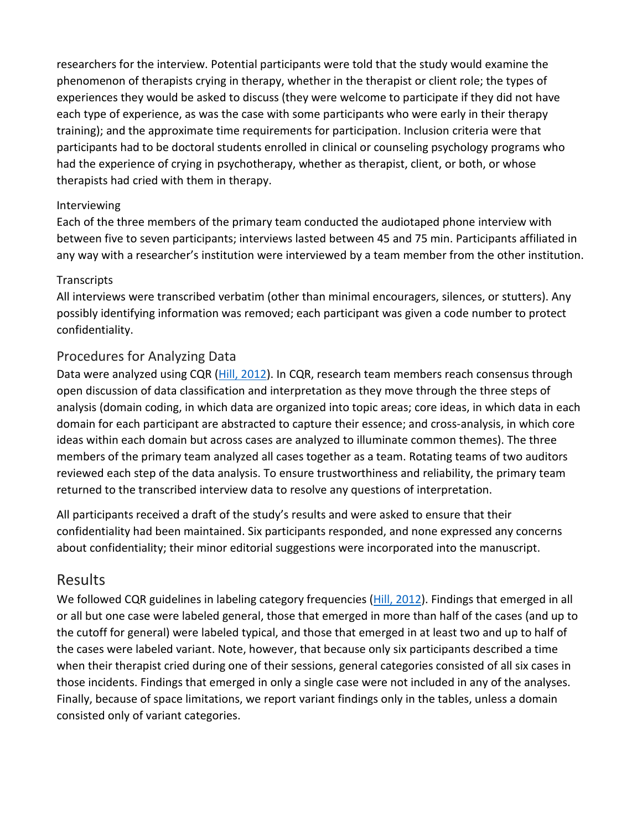researchers for the interview. Potential participants were told that the study would examine the phenomenon of therapists crying in therapy, whether in the therapist or client role; the types of experiences they would be asked to discuss (they were welcome to participate if they did not have each type of experience, as was the case with some participants who were early in their therapy training); and the approximate time requirements for participation. Inclusion criteria were that participants had to be doctoral students enrolled in clinical or counseling psychology programs who had the experience of crying in psychotherapy, whether as therapist, client, or both, or whose therapists had cried with them in therapy.

#### Interviewing

Each of the three members of the primary team conducted the audiotaped phone interview with between five to seven participants; interviews lasted between 45 and 75 min. Participants affiliated in any way with a researcher's institution were interviewed by a team member from the other institution.

#### **Transcripts**

All interviews were transcribed verbatim (other than minimal encouragers, silences, or stutters). Any possibly identifying information was removed; each participant was given a code number to protect confidentiality.

#### Procedures for Analyzing Data

Data were analyzed using CQR [\(Hill, 2012\)](https://0-web-a-ebscohost-com.libus.csd.mu.edu/ehost/detail/detail?vid=0&sid=31a23438-ac1b-4d2c-92d0-63814aa9a694%40sessionmgr4007&bdata=JnNpdGU9ZWhvc3QtbGl2ZQ%3d%3d#c12). In CQR, research team members reach consensus through open discussion of data classification and interpretation as they move through the three steps of analysis (domain coding, in which data are organized into topic areas; core ideas, in which data in each domain for each participant are abstracted to capture their essence; and cross-analysis, in which core ideas within each domain but across cases are analyzed to illuminate common themes). The three members of the primary team analyzed all cases together as a team. Rotating teams of two auditors reviewed each step of the data analysis. To ensure trustworthiness and reliability, the primary team returned to the transcribed interview data to resolve any questions of interpretation.

All participants received a draft of the study's results and were asked to ensure that their confidentiality had been maintained. Six participants responded, and none expressed any concerns about confidentiality; their minor editorial suggestions were incorporated into the manuscript.

## [Results](https://0-web-a-ebscohost-com.libus.csd.mu.edu/ehost/detail/detail?vid=0&sid=31a23438-ac1b-4d2c-92d0-63814aa9a694%40sessionmgr4007&bdata=JnNpdGU9ZWhvc3QtbGl2ZQ%3d%3d#toc)

We followed CQR guidelines in labeling category frequencies [\(Hill, 2012\)](https://0-web-a-ebscohost-com.libus.csd.mu.edu/ehost/detail/detail?vid=0&sid=31a23438-ac1b-4d2c-92d0-63814aa9a694%40sessionmgr4007&bdata=JnNpdGU9ZWhvc3QtbGl2ZQ%3d%3d#c12). Findings that emerged in all or all but one case were labeled general, those that emerged in more than half of the cases (and up to the cutoff for general) were labeled typical, and those that emerged in at least two and up to half of the cases were labeled variant. Note, however, that because only six participants described a time when their therapist cried during one of their sessions, general categories consisted of all six cases in those incidents. Findings that emerged in only a single case were not included in any of the analyses. Finally, because of space limitations, we report variant findings only in the tables, unless a domain consisted only of variant categories.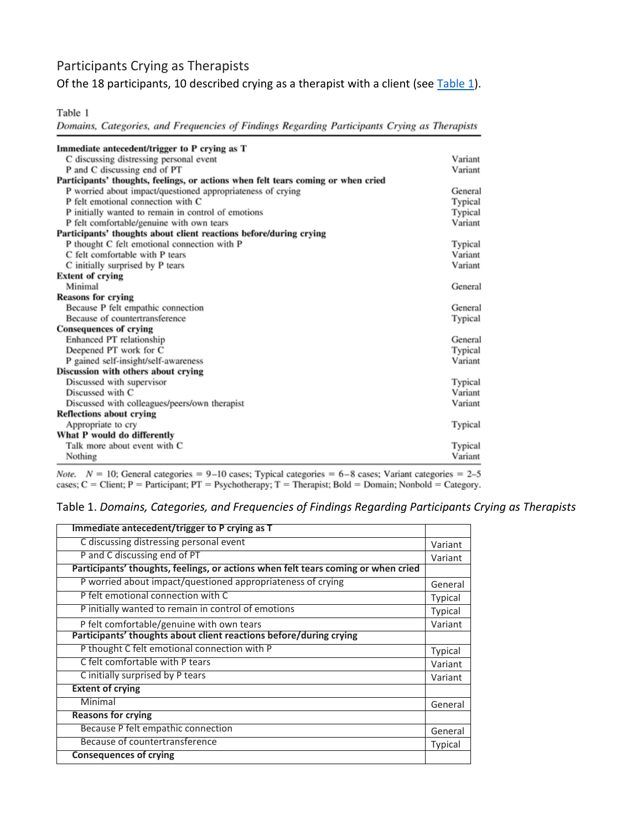## Participants Crying as Therapists

Of the 18 participants, 10 described crying as a therapist with a client (see  $Table 1$ ).

Table 1

Domains, Categories, and Frequencies of Findings Regarding Participants Crying as Therapists

| Immediate antecedent/trigger to P crying as T                                     |         |
|-----------------------------------------------------------------------------------|---------|
| C discussing distressing personal event                                           | Variant |
| P and C discussing end of PT                                                      | Variant |
| Participants' thoughts, feelings, or actions when felt tears coming or when cried |         |
| P worried about impact/questioned appropriateness of crying                       | General |
| P felt emotional connection with C                                                | Typical |
| P initially wanted to remain in control of emotions                               | Typical |
| P felt comfortable/genuine with own tears                                         | Variant |
| Participants' thoughts about client reactions before/during crying                |         |
| P thought C felt emotional connection with P                                      | Typical |
| C felt comfortable with P tears                                                   | Variant |
| C initially surprised by P tears                                                  | Variant |
| <b>Extent of crying</b>                                                           |         |
| Minimal                                                                           | General |
| <b>Reasons for crying</b>                                                         |         |
| Because P felt empathic connection                                                | General |
| Because of countertransference                                                    | Typical |
| <b>Consequences of crying</b>                                                     |         |
| Enhanced PT relationship                                                          | General |
| Deepened PT work for C                                                            | Typical |
| P gained self-insight/self-awareness                                              | Variant |
| Discussion with others about crying                                               |         |
| Discussed with supervisor                                                         | Typical |
| Discussed with C                                                                  | Variant |
| Discussed with colleagues/peers/own therapist                                     | Variant |
| <b>Reflections about crying</b>                                                   |         |
| Appropriate to cry                                                                | Typical |
| What P would do differently                                                       |         |
| Talk more about event with C                                                      | Typical |
| Nothing                                                                           | Variant |

Note.  $N = 10$ ; General categories = 9-10 cases; Typical categories = 6-8 cases; Variant categories = 2-5 cases;  $C =$  Client;  $P =$  Participant;  $PT =$  Psychotherapy;  $T =$  Therapist; Bold = Domain; Nonbold = Category.

#### Table 1. *Domains, Categories, and Frequencies of Findings Regarding Participants Crying as Therapists*

| Immediate antecedent/trigger to P crying as T                                     |                |
|-----------------------------------------------------------------------------------|----------------|
| C discussing distressing personal event                                           | Variant        |
| P and C discussing end of PT                                                      | Variant        |
| Participants' thoughts, feelings, or actions when felt tears coming or when cried |                |
| P worried about impact/questioned appropriateness of crying                       | General        |
| P felt emotional connection with C                                                | <b>Typical</b> |
| P initially wanted to remain in control of emotions                               | Typical        |
| P felt comfortable/genuine with own tears                                         | Variant        |
| Participants' thoughts about client reactions before/during crying                |                |
| P thought C felt emotional connection with P                                      | Typical        |
| C felt comfortable with P tears                                                   | Variant        |
| C initially surprised by P tears                                                  | Variant        |
| <b>Extent of crying</b>                                                           |                |
| Minimal                                                                           | General        |
| <b>Reasons for crying</b>                                                         |                |
| Because P felt empathic connection                                                | General        |
| Because of countertransference                                                    | Typical        |
| <b>Consequences of crying</b>                                                     |                |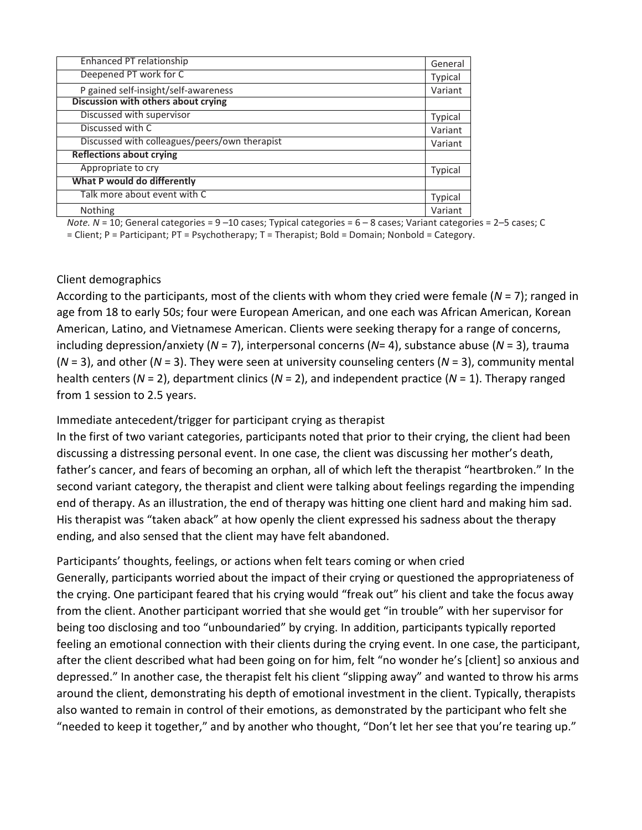| Enhanced PT relationship                      | General        |
|-----------------------------------------------|----------------|
| Deepened PT work for C                        | Typical        |
| P gained self-insight/self-awareness          | Variant        |
| Discussion with others about crying           |                |
| Discussed with supervisor                     | <b>Typical</b> |
| Discussed with C                              | Variant        |
| Discussed with colleagues/peers/own therapist | Variant        |
| <b>Reflections about crying</b>               |                |
| Appropriate to cry                            | Typical        |
| What P would do differently                   |                |
| Talk more about event with C                  | Typical        |
| <b>Nothing</b>                                | Variant        |

*Note. N* = 10; General categories = 9 –10 cases; Typical categories = 6 – 8 cases; Variant categories = 2–5 cases; C = Client; P = Participant; PT = Psychotherapy; T = Therapist; Bold = Domain; Nonbold = Category.

#### Client demographics

According to the participants, most of the clients with whom they cried were female (*N* = 7); ranged in age from 18 to early 50s; four were European American, and one each was African American, Korean American, Latino, and Vietnamese American. Clients were seeking therapy for a range of concerns, including depression/anxiety (*N* = 7), interpersonal concerns (*N*= 4), substance abuse (*N* = 3), trauma (*N* = 3), and other (*N* = 3). They were seen at university counseling centers (*N* = 3), community mental health centers (*N* = 2), department clinics (*N* = 2), and independent practice (*N* = 1). Therapy ranged from 1 session to 2.5 years.

#### Immediate antecedent/trigger for participant crying as therapist

In the first of two variant categories, participants noted that prior to their crying, the client had been discussing a distressing personal event. In one case, the client was discussing her mother's death, father's cancer, and fears of becoming an orphan, all of which left the therapist "heartbroken." In the second variant category, the therapist and client were talking about feelings regarding the impending end of therapy. As an illustration, the end of therapy was hitting one client hard and making him sad. His therapist was "taken aback" at how openly the client expressed his sadness about the therapy ending, and also sensed that the client may have felt abandoned.

Participants' thoughts, feelings, or actions when felt tears coming or when cried Generally, participants worried about the impact of their crying or questioned the appropriateness of the crying. One participant feared that his crying would "freak out" his client and take the focus away from the client. Another participant worried that she would get "in trouble" with her supervisor for being too disclosing and too "unboundaried" by crying. In addition, participants typically reported feeling an emotional connection with their clients during the crying event. In one case, the participant, after the client described what had been going on for him, felt "no wonder he's [client] so anxious and depressed." In another case, the therapist felt his client "slipping away" and wanted to throw his arms around the client, demonstrating his depth of emotional investment in the client. Typically, therapists also wanted to remain in control of their emotions, as demonstrated by the participant who felt she "needed to keep it together," and by another who thought, "Don't let her see that you're tearing up."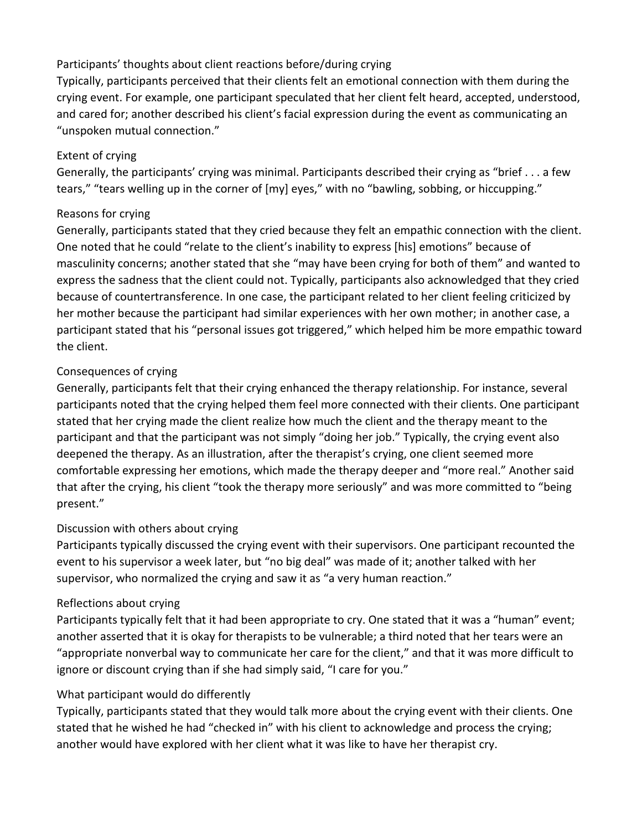#### Participants' thoughts about client reactions before/during crying

Typically, participants perceived that their clients felt an emotional connection with them during the crying event. For example, one participant speculated that her client felt heard, accepted, understood, and cared for; another described his client's facial expression during the event as communicating an "unspoken mutual connection."

### Extent of crying

Generally, the participants' crying was minimal. Participants described their crying as "brief . . . a few tears," "tears welling up in the corner of [my] eyes," with no "bawling, sobbing, or hiccupping."

## Reasons for crying

Generally, participants stated that they cried because they felt an empathic connection with the client. One noted that he could "relate to the client's inability to express [his] emotions" because of masculinity concerns; another stated that she "may have been crying for both of them" and wanted to express the sadness that the client could not. Typically, participants also acknowledged that they cried because of countertransference. In one case, the participant related to her client feeling criticized by her mother because the participant had similar experiences with her own mother; in another case, a participant stated that his "personal issues got triggered," which helped him be more empathic toward the client.

## Consequences of crying

Generally, participants felt that their crying enhanced the therapy relationship. For instance, several participants noted that the crying helped them feel more connected with their clients. One participant stated that her crying made the client realize how much the client and the therapy meant to the participant and that the participant was not simply "doing her job." Typically, the crying event also deepened the therapy. As an illustration, after the therapist's crying, one client seemed more comfortable expressing her emotions, which made the therapy deeper and "more real." Another said that after the crying, his client "took the therapy more seriously" and was more committed to "being present."

## Discussion with others about crying

Participants typically discussed the crying event with their supervisors. One participant recounted the event to his supervisor a week later, but "no big deal" was made of it; another talked with her supervisor, who normalized the crying and saw it as "a very human reaction."

## Reflections about crying

Participants typically felt that it had been appropriate to cry. One stated that it was a "human" event; another asserted that it is okay for therapists to be vulnerable; a third noted that her tears were an "appropriate nonverbal way to communicate her care for the client," and that it was more difficult to ignore or discount crying than if she had simply said, "I care for you."

## What participant would do differently

Typically, participants stated that they would talk more about the crying event with their clients. One stated that he wished he had "checked in" with his client to acknowledge and process the crying; another would have explored with her client what it was like to have her therapist cry.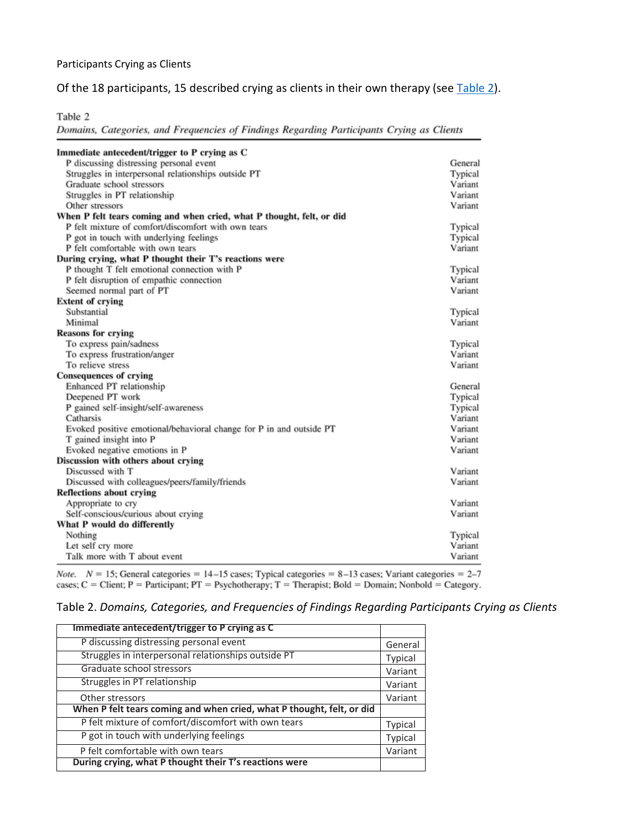#### Participants Crying as Clients

#### Of the 18 participants, 15 described crying as clients in their own therapy (see [Table 2\)](https://0-web-a-ebscohost-com.libus.csd.mu.edu/ehost/detail/detail?vid=0&sid=31a23438-ac1b-4d2c-92d0-63814aa9a694%40sessionmgr4007&bdata=JnNpdGU9ZWhvc3QtbGl2ZQ%3d%3d#tbl2).

Table 2

Domains, Categories, and Frequencies of Findings Regarding Participants Crying as Clients

| Immediate antecedent/trigger to P crying as C                         |         |
|-----------------------------------------------------------------------|---------|
| P discussing distressing personal event                               | General |
| Struggles in interpersonal relationships outside PT                   | Typical |
| Graduate school stressors                                             | Variant |
| Struggles in PT relationship                                          | Variant |
| Other stressors                                                       | Variant |
| When P felt tears coming and when cried, what P thought, felt, or did |         |
| P felt mixture of comfort/discomfort with own tears                   | Typical |
| P got in touch with underlying feelings                               | Typical |
| P felt comfortable with own tears                                     | Variant |
| During crying, what P thought their T's reactions were                |         |
| P thought T felt emotional connection with P                          | Typical |
| P felt disruption of empathic connection                              | Variant |
| Seemed normal part of PT                                              | Variant |
| <b>Extent of crying</b>                                               |         |
| Substantial                                                           | Typical |
| Minimal                                                               | Variant |
| <b>Reasons for crying</b>                                             |         |
| To express pain/sadness                                               | Typical |
| To express frustration/anger                                          | Variant |
| To relieve stress                                                     | Variant |
| <b>Consequences of crying</b>                                         |         |
| Enhanced PT relationship                                              | General |
| Deepened PT work                                                      | Typical |
| P gained self-insight/self-awareness                                  | Typical |
| Catharsis                                                             | Variant |
| Evoked positive emotional/behavioral change for P in and outside PT   | Variant |
| T gained insight into P                                               | Variant |
| Evoked negative emotions in P                                         | Variant |
| Discussion with others about crying                                   |         |
| Discussed with T                                                      | Variant |
| Discussed with colleagues/peers/family/friends                        | Variant |
| <b>Reflections about crying</b>                                       |         |
| Appropriate to cry                                                    | Variant |
| Self-conscious/curious about crying                                   | Variant |
| What P would do differently                                           |         |
| Nothing                                                               | Typical |
| Let self cry more                                                     | Variant |
| Talk more with T about event                                          | Variant |

Note.  $N = 15$ ; General categories = 14-15 cases; Typical categories = 8-13 cases; Variant categories = 2-7 cases;  $C =$  Client;  $P =$  Participant;  $PT =$  Psychotherapy;  $T =$  Therapist; Bold = Domain; Nonbold = Category.

#### Table 2. *Domains, Categories, and Frequencies of Findings Regarding Participants Crying as Clients*

| Immediate antecedent/trigger to P crying as C                         |                |
|-----------------------------------------------------------------------|----------------|
| P discussing distressing personal event                               | General        |
| Struggles in interpersonal relationships outside PT                   | <b>Typical</b> |
| Graduate school stressors                                             | Variant        |
| Struggles in PT relationship                                          | Variant        |
| Other stressors                                                       | Variant        |
| When P felt tears coming and when cried, what P thought, felt, or did |                |
| P felt mixture of comfort/discomfort with own tears                   | <b>Typical</b> |
| P got in touch with underlying feelings                               | <b>Typical</b> |
| P felt comfortable with own tears                                     | Variant        |
| During crying, what P thought their T's reactions were                |                |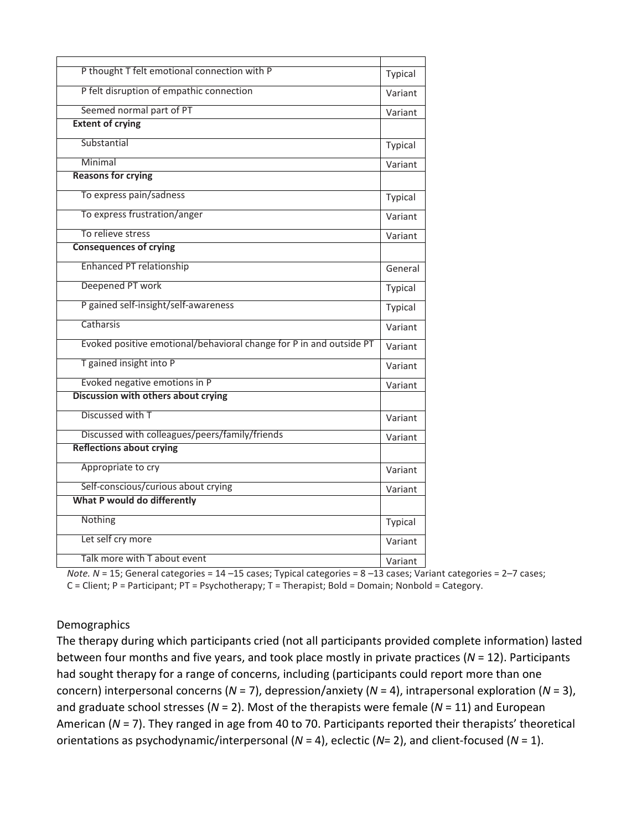| P thought T felt emotional connection with P                        | Typical |
|---------------------------------------------------------------------|---------|
| P felt disruption of empathic connection                            | Variant |
| Seemed normal part of PT                                            | Variant |
| <b>Extent of crying</b>                                             |         |
| Substantial                                                         | Typical |
| Minimal                                                             | Variant |
| <b>Reasons for crying</b>                                           |         |
| To express pain/sadness                                             | Typical |
| To express frustration/anger                                        | Variant |
| To relieve stress                                                   | Variant |
| <b>Consequences of crying</b>                                       |         |
| <b>Enhanced PT relationship</b>                                     | General |
| Deepened PT work                                                    | Typical |
| P gained self-insight/self-awareness                                | Typical |
| Catharsis                                                           | Variant |
| Evoked positive emotional/behavioral change for P in and outside PT | Variant |
| T gained insight into P                                             | Variant |
| Evoked negative emotions in P                                       | Variant |
| Discussion with others about crying                                 |         |
| Discussed with T                                                    | Variant |
| Discussed with colleagues/peers/family/friends                      | Variant |
| <b>Reflections about crying</b>                                     |         |
| Appropriate to cry                                                  | Variant |
| Self-conscious/curious about crying                                 | Variant |
| What P would do differently                                         |         |
| Nothing                                                             | Typical |
| Let self cry more                                                   | Variant |
| Talk more with T about event                                        | Variant |
|                                                                     |         |

*Note. N* = 15; General categories = 14 –15 cases; Typical categories = 8 –13 cases; Variant categories = 2–7 cases; C = Client; P = Participant; PT = Psychotherapy; T = Therapist; Bold = Domain; Nonbold = Category.

#### Demographics

The therapy during which participants cried (not all participants provided complete information) lasted between four months and five years, and took place mostly in private practices (*N* = 12). Participants had sought therapy for a range of concerns, including (participants could report more than one concern) interpersonal concerns (*N* = 7), depression/anxiety (*N* = 4), intrapersonal exploration (*N* = 3), and graduate school stresses (*N* = 2). Most of the therapists were female (*N* = 11) and European American (*N* = 7). They ranged in age from 40 to 70. Participants reported their therapists' theoretical orientations as psychodynamic/interpersonal (*N* = 4), eclectic (*N*= 2), and client-focused (*N* = 1).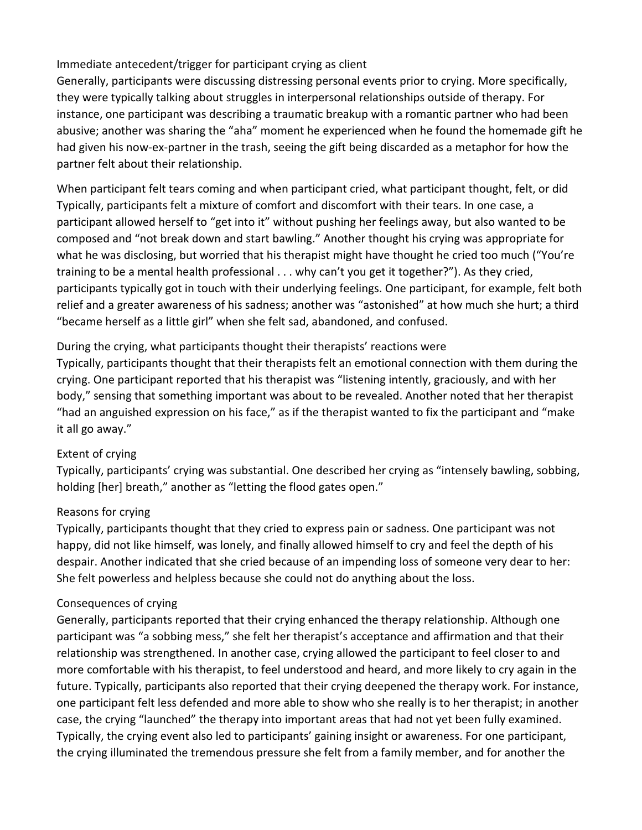#### Immediate antecedent/trigger for participant crying as client

Generally, participants were discussing distressing personal events prior to crying. More specifically, they were typically talking about struggles in interpersonal relationships outside of therapy. For instance, one participant was describing a traumatic breakup with a romantic partner who had been abusive; another was sharing the "aha" moment he experienced when he found the homemade gift he had given his now-ex-partner in the trash, seeing the gift being discarded as a metaphor for how the partner felt about their relationship.

When participant felt tears coming and when participant cried, what participant thought, felt, or did Typically, participants felt a mixture of comfort and discomfort with their tears. In one case, a participant allowed herself to "get into it" without pushing her feelings away, but also wanted to be composed and "not break down and start bawling." Another thought his crying was appropriate for what he was disclosing, but worried that his therapist might have thought he cried too much ("You're training to be a mental health professional . . . why can't you get it together?"). As they cried, participants typically got in touch with their underlying feelings. One participant, for example, felt both relief and a greater awareness of his sadness; another was "astonished" at how much she hurt; a third "became herself as a little girl" when she felt sad, abandoned, and confused.

#### During the crying, what participants thought their therapists' reactions were

Typically, participants thought that their therapists felt an emotional connection with them during the crying. One participant reported that his therapist was "listening intently, graciously, and with her body," sensing that something important was about to be revealed. Another noted that her therapist "had an anguished expression on his face," as if the therapist wanted to fix the participant and "make it all go away."

#### Extent of crying

Typically, participants' crying was substantial. One described her crying as "intensely bawling, sobbing, holding [her] breath," another as "letting the flood gates open."

#### Reasons for crying

Typically, participants thought that they cried to express pain or sadness. One participant was not happy, did not like himself, was lonely, and finally allowed himself to cry and feel the depth of his despair. Another indicated that she cried because of an impending loss of someone very dear to her: She felt powerless and helpless because she could not do anything about the loss.

#### Consequences of crying

Generally, participants reported that their crying enhanced the therapy relationship. Although one participant was "a sobbing mess," she felt her therapist's acceptance and affirmation and that their relationship was strengthened. In another case, crying allowed the participant to feel closer to and more comfortable with his therapist, to feel understood and heard, and more likely to cry again in the future. Typically, participants also reported that their crying deepened the therapy work. For instance, one participant felt less defended and more able to show who she really is to her therapist; in another case, the crying "launched" the therapy into important areas that had not yet been fully examined. Typically, the crying event also led to participants' gaining insight or awareness. For one participant, the crying illuminated the tremendous pressure she felt from a family member, and for another the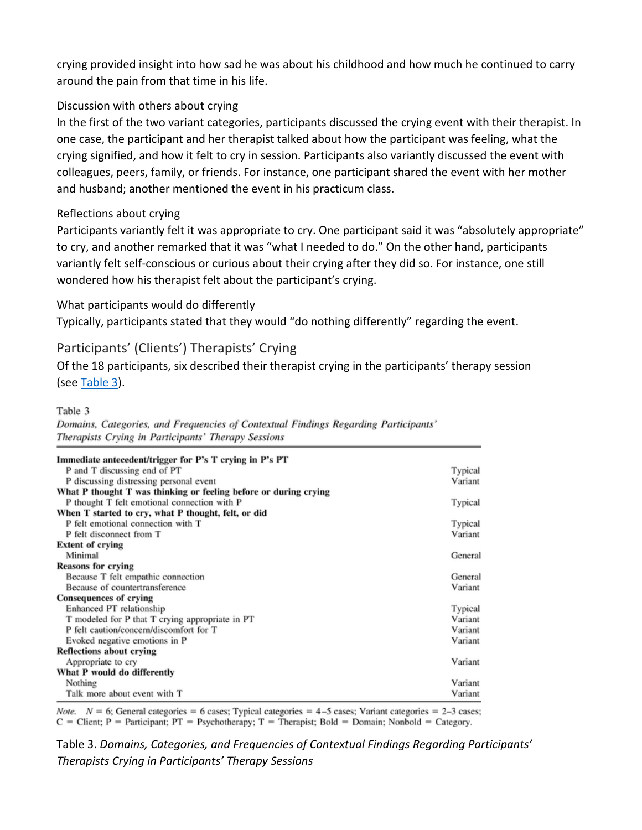crying provided insight into how sad he was about his childhood and how much he continued to carry around the pain from that time in his life.

#### Discussion with others about crying

In the first of the two variant categories, participants discussed the crying event with their therapist. In one case, the participant and her therapist talked about how the participant was feeling, what the crying signified, and how it felt to cry in session. Participants also variantly discussed the event with colleagues, peers, family, or friends. For instance, one participant shared the event with her mother and husband; another mentioned the event in his practicum class.

#### Reflections about crying

Participants variantly felt it was appropriate to cry. One participant said it was "absolutely appropriate" to cry, and another remarked that it was "what I needed to do." On the other hand, participants variantly felt self-conscious or curious about their crying after they did so. For instance, one still wondered how his therapist felt about the participant's crying.

#### What participants would do differently

Typically, participants stated that they would "do nothing differently" regarding the event.

#### Participants' (Clients') Therapists' Crying

Of the 18 participants, six described their therapist crying in the participants' therapy session (see [Table 3\)](https://0-web-a-ebscohost-com.libus.csd.mu.edu/ehost/detail/detail?vid=0&sid=31a23438-ac1b-4d2c-92d0-63814aa9a694%40sessionmgr4007&bdata=JnNpdGU9ZWhvc3QtbGl2ZQ%3d%3d#tbl3).

#### Table 3

Domains, Categories, and Frequencies of Contextual Findings Regarding Participants' Therapists Crying in Participants' Therapy Sessions

| Immediate antecedent/trigger for P's T crying in P's PT          |         |
|------------------------------------------------------------------|---------|
| P and T discussing end of PT                                     | Typical |
| P discussing distressing personal event                          | Variant |
| What P thought T was thinking or feeling before or during crying |         |
| P thought T felt emotional connection with P                     | Typical |
| When T started to cry, what P thought, felt, or did              |         |
| P felt emotional connection with T                               | Typical |
| P felt disconnect from T                                         | Variant |
| <b>Extent of crying</b>                                          |         |
| Minimal                                                          | General |
| <b>Reasons for crying</b>                                        |         |
| Because T felt empathic connection                               | General |
| Because of countertransference                                   | Variant |
| Consequences of crying                                           |         |
| Enhanced PT relationship                                         | Typical |
| T modeled for P that T crying appropriate in PT                  | Variant |
| P felt caution/concern/discomfort for T                          | Variant |
| Evoked negative emotions in P                                    | Variant |
| <b>Reflections about crying</b>                                  |         |
| Appropriate to cry                                               | Variant |
| What P would do differently                                      |         |
| Nothing                                                          | Variant |
| Talk more about event with T                                     | Variant |

*Note.*  $N = 6$ ; General categories = 6 cases; Typical categories = 4-5 cases; Variant categories = 2-3 cases;  $C =$  Client; P = Participant; PT = Psychotherapy; T = Therapist; Bold = Domain; Nonbold = Category.

Table 3. *Domains, Categories, and Frequencies of Contextual Findings Regarding Participants' Therapists Crying in Participants' Therapy Sessions*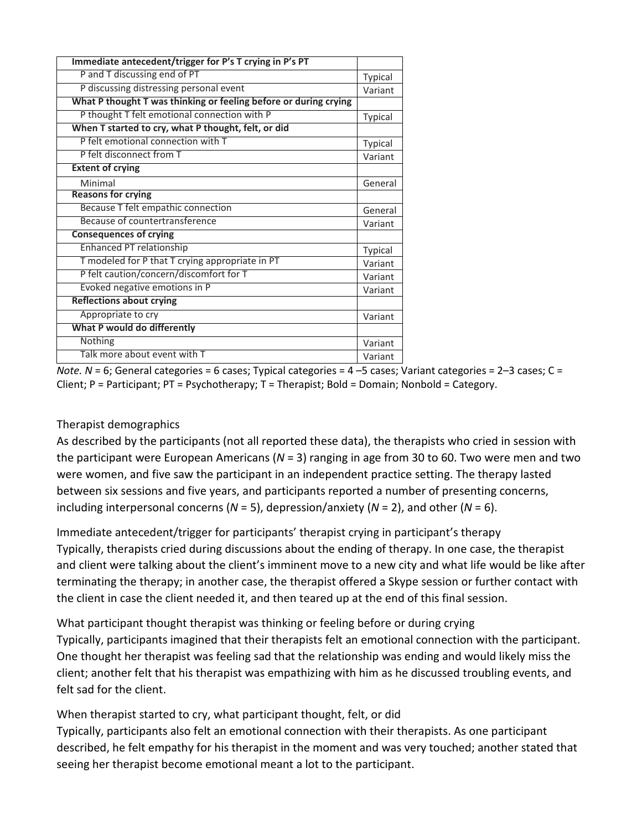| Immediate antecedent/trigger for P's T crying in P's PT          |         |
|------------------------------------------------------------------|---------|
| P and T discussing end of PT                                     | Typical |
| P discussing distressing personal event                          | Variant |
| What P thought T was thinking or feeling before or during crying |         |
| P thought T felt emotional connection with P                     | Typical |
| When T started to cry, what P thought, felt, or did              |         |
| P felt emotional connection with T                               | Typical |
| P felt disconnect from T                                         | Variant |
| <b>Extent of crying</b>                                          |         |
| Minimal                                                          | General |
| <b>Reasons for crying</b>                                        |         |
| Because T felt empathic connection                               | General |
| Because of countertransference                                   | Variant |
| <b>Consequences of crying</b>                                    |         |
| <b>Enhanced PT relationship</b>                                  | Typical |
| T modeled for P that T crying appropriate in PT                  | Variant |
| P felt caution/concern/discomfort for T                          | Variant |
| Evoked negative emotions in P                                    | Variant |
| <b>Reflections about crying</b>                                  |         |
| Appropriate to cry                                               | Variant |
| What P would do differently                                      |         |
| Nothing                                                          | Variant |
| Talk more about event with T                                     | Variant |

*Note. N* = 6; General categories = 6 cases; Typical categories = 4 –5 cases; Variant categories = 2–3 cases; C = Client; P = Participant; PT = Psychotherapy; T = Therapist; Bold = Domain; Nonbold = Category.

#### Therapist demographics

As described by the participants (not all reported these data), the therapists who cried in session with the participant were European Americans (*N* = 3) ranging in age from 30 to 60. Two were men and two were women, and five saw the participant in an independent practice setting. The therapy lasted between six sessions and five years, and participants reported a number of presenting concerns, including interpersonal concerns (*N* = 5), depression/anxiety (*N* = 2), and other (*N* = 6).

Immediate antecedent/trigger for participants' therapist crying in participant's therapy Typically, therapists cried during discussions about the ending of therapy. In one case, the therapist and client were talking about the client's imminent move to a new city and what life would be like after terminating the therapy; in another case, the therapist offered a Skype session or further contact with the client in case the client needed it, and then teared up at the end of this final session.

What participant thought therapist was thinking or feeling before or during crying Typically, participants imagined that their therapists felt an emotional connection with the participant. One thought her therapist was feeling sad that the relationship was ending and would likely miss the client; another felt that his therapist was empathizing with him as he discussed troubling events, and felt sad for the client.

When therapist started to cry, what participant thought, felt, or did

Typically, participants also felt an emotional connection with their therapists. As one participant described, he felt empathy for his therapist in the moment and was very touched; another stated that seeing her therapist become emotional meant a lot to the participant.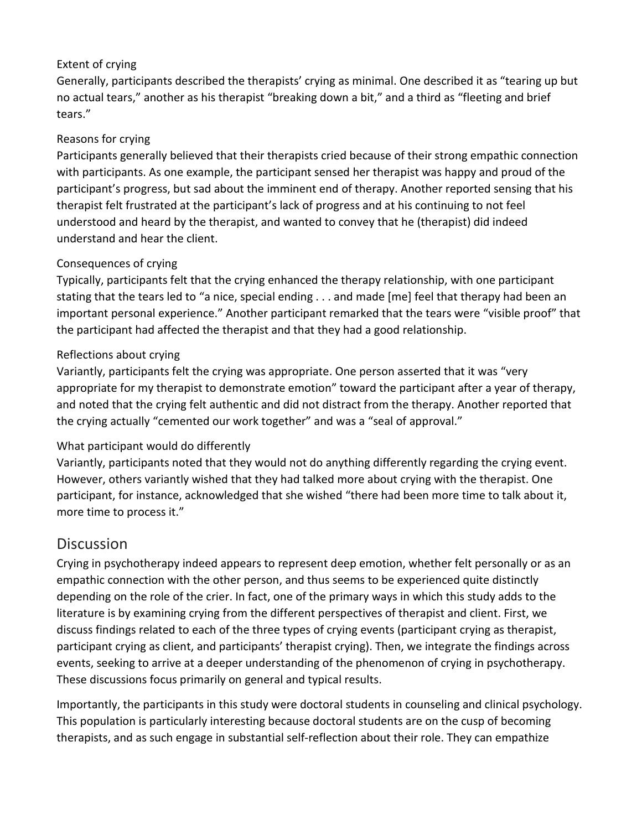#### Extent of crying

Generally, participants described the therapists' crying as minimal. One described it as "tearing up but no actual tears," another as his therapist "breaking down a bit," and a third as "fleeting and brief tears."

#### Reasons for crying

Participants generally believed that their therapists cried because of their strong empathic connection with participants. As one example, the participant sensed her therapist was happy and proud of the participant's progress, but sad about the imminent end of therapy. Another reported sensing that his therapist felt frustrated at the participant's lack of progress and at his continuing to not feel understood and heard by the therapist, and wanted to convey that he (therapist) did indeed understand and hear the client.

#### Consequences of crying

Typically, participants felt that the crying enhanced the therapy relationship, with one participant stating that the tears led to "a nice, special ending . . . and made [me] feel that therapy had been an important personal experience." Another participant remarked that the tears were "visible proof" that the participant had affected the therapist and that they had a good relationship.

#### Reflections about crying

Variantly, participants felt the crying was appropriate. One person asserted that it was "very appropriate for my therapist to demonstrate emotion" toward the participant after a year of therapy, and noted that the crying felt authentic and did not distract from the therapy. Another reported that the crying actually "cemented our work together" and was a "seal of approval."

#### What participant would do differently

Variantly, participants noted that they would not do anything differently regarding the crying event. However, others variantly wished that they had talked more about crying with the therapist. One participant, for instance, acknowledged that she wished "there had been more time to talk about it, more time to process it."

## **[Discussion](https://0-web-a-ebscohost-com.libus.csd.mu.edu/ehost/detail/detail?vid=0&sid=31a23438-ac1b-4d2c-92d0-63814aa9a694%40sessionmgr4007&bdata=JnNpdGU9ZWhvc3QtbGl2ZQ%3d%3d#toc)**

Crying in psychotherapy indeed appears to represent deep emotion, whether felt personally or as an empathic connection with the other person, and thus seems to be experienced quite distinctly depending on the role of the crier. In fact, one of the primary ways in which this study adds to the literature is by examining crying from the different perspectives of therapist and client. First, we discuss findings related to each of the three types of crying events (participant crying as therapist, participant crying as client, and participants' therapist crying). Then, we integrate the findings across events, seeking to arrive at a deeper understanding of the phenomenon of crying in psychotherapy. These discussions focus primarily on general and typical results.

Importantly, the participants in this study were doctoral students in counseling and clinical psychology. This population is particularly interesting because doctoral students are on the cusp of becoming therapists, and as such engage in substantial self-reflection about their role. They can empathize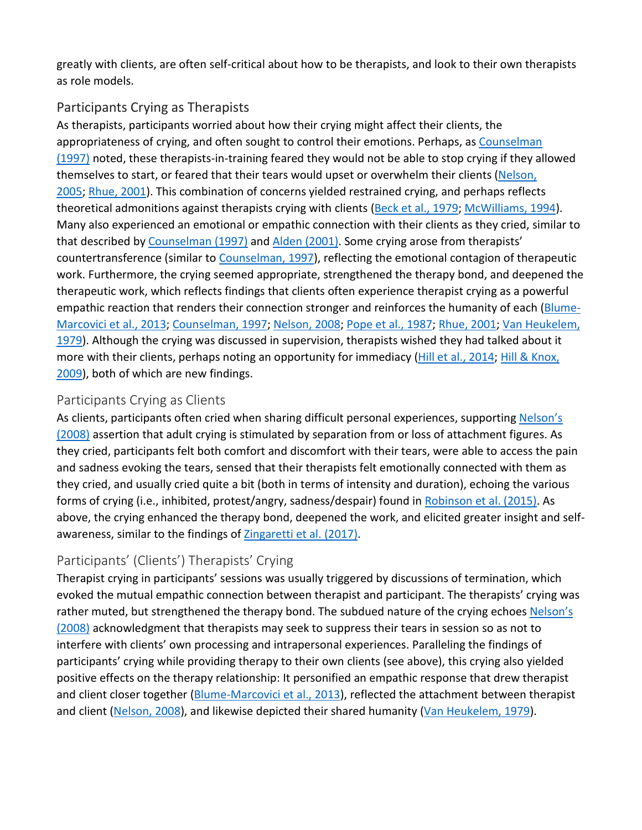greatly with clients, are often self-critical about how to be therapists, and look to their own therapists as role models.

## Participants Crying as Therapists

As therapists, participants worried about how their crying might affect their clients, the appropriateness of crying, and often sought to control their emotions. Perhaps, as Counselman [\(1997\)](https://0-web-a-ebscohost-com.libus.csd.mu.edu/ehost/detail/detail?vid=0&sid=31a23438-ac1b-4d2c-92d0-63814aa9a694%40sessionmgr4007&bdata=JnNpdGU9ZWhvc3QtbGl2ZQ%3d%3d#c8) noted, these therapists-in-training feared they would not be able to stop crying if they allowed themselves to start, or feared that their tears would upset or overwhelm their clients (Nelson, [2005;](https://0-web-a-ebscohost-com.libus.csd.mu.edu/ehost/detail/detail?vid=0&sid=31a23438-ac1b-4d2c-92d0-63814aa9a694%40sessionmgr4007&bdata=JnNpdGU9ZWhvc3QtbGl2ZQ%3d%3d#c22) [Rhue, 2001\)](https://0-web-a-ebscohost-com.libus.csd.mu.edu/ehost/detail/detail?vid=0&sid=31a23438-ac1b-4d2c-92d0-63814aa9a694%40sessionmgr4007&bdata=JnNpdGU9ZWhvc3QtbGl2ZQ%3d%3d#c26). This combination of concerns yielded restrained crying, and perhaps reflects theoretical admonitions against therapists crying with clients [\(Beck et al., 1979;](https://0-web-a-ebscohost-com.libus.csd.mu.edu/ehost/detail/detail?vid=0&sid=31a23438-ac1b-4d2c-92d0-63814aa9a694%40sessionmgr4007&bdata=JnNpdGU9ZWhvc3QtbGl2ZQ%3d%3d#c3) [McWilliams, 1994\)](https://0-web-a-ebscohost-com.libus.csd.mu.edu/ehost/detail/detail?vid=0&sid=31a23438-ac1b-4d2c-92d0-63814aa9a694%40sessionmgr4007&bdata=JnNpdGU9ZWhvc3QtbGl2ZQ%3d%3d#c21). Many also experienced an emotional or empathic connection with their clients as they cried, similar to that described by [Counselman \(1997\)](https://0-web-a-ebscohost-com.libus.csd.mu.edu/ehost/detail/detail?vid=0&sid=31a23438-ac1b-4d2c-92d0-63814aa9a694%40sessionmgr4007&bdata=JnNpdGU9ZWhvc3QtbGl2ZQ%3d%3d#c8) and [Alden \(2001\).](https://0-web-a-ebscohost-com.libus.csd.mu.edu/ehost/detail/detail?vid=0&sid=31a23438-ac1b-4d2c-92d0-63814aa9a694%40sessionmgr4007&bdata=JnNpdGU9ZWhvc3QtbGl2ZQ%3d%3d#c2) Some crying arose from therapists' countertransference (similar to [Counselman, 1997\)](https://0-web-a-ebscohost-com.libus.csd.mu.edu/ehost/detail/detail?vid=0&sid=31a23438-ac1b-4d2c-92d0-63814aa9a694%40sessionmgr4007&bdata=JnNpdGU9ZWhvc3QtbGl2ZQ%3d%3d#c8), reflecting the emotional contagion of therapeutic work. Furthermore, the crying seemed appropriate, strengthened the therapy bond, and deepened the therapeutic work, which reflects findings that clients often experience therapist crying as a powerful empathic reaction that renders their connection stronger and reinforces the humanity of each [\(Blume-](https://0-web-a-ebscohost-com.libus.csd.mu.edu/ehost/detail/detail?vid=0&sid=31a23438-ac1b-4d2c-92d0-63814aa9a694%40sessionmgr4007&bdata=JnNpdGU9ZWhvc3QtbGl2ZQ%3d%3d#c4)[Marcovici et al., 2013;](https://0-web-a-ebscohost-com.libus.csd.mu.edu/ehost/detail/detail?vid=0&sid=31a23438-ac1b-4d2c-92d0-63814aa9a694%40sessionmgr4007&bdata=JnNpdGU9ZWhvc3QtbGl2ZQ%3d%3d#c4) [Counselman, 1997;](https://0-web-a-ebscohost-com.libus.csd.mu.edu/ehost/detail/detail?vid=0&sid=31a23438-ac1b-4d2c-92d0-63814aa9a694%40sessionmgr4007&bdata=JnNpdGU9ZWhvc3QtbGl2ZQ%3d%3d#c8) [Nelson, 2008;](https://0-web-a-ebscohost-com.libus.csd.mu.edu/ehost/detail/detail?vid=0&sid=31a23438-ac1b-4d2c-92d0-63814aa9a694%40sessionmgr4007&bdata=JnNpdGU9ZWhvc3QtbGl2ZQ%3d%3d#c23) [Pope et al., 1987;](https://0-web-a-ebscohost-com.libus.csd.mu.edu/ehost/detail/detail?vid=0&sid=31a23438-ac1b-4d2c-92d0-63814aa9a694%40sessionmgr4007&bdata=JnNpdGU9ZWhvc3QtbGl2ZQ%3d%3d#c25) [Rhue, 2001;](https://0-web-a-ebscohost-com.libus.csd.mu.edu/ehost/detail/detail?vid=0&sid=31a23438-ac1b-4d2c-92d0-63814aa9a694%40sessionmgr4007&bdata=JnNpdGU9ZWhvc3QtbGl2ZQ%3d%3d#c26) [Van Heukelem,](https://0-web-a-ebscohost-com.libus.csd.mu.edu/ehost/detail/detail?vid=0&sid=31a23438-ac1b-4d2c-92d0-63814aa9a694%40sessionmgr4007&bdata=JnNpdGU9ZWhvc3QtbGl2ZQ%3d%3d#c30)  [1979\)](https://0-web-a-ebscohost-com.libus.csd.mu.edu/ehost/detail/detail?vid=0&sid=31a23438-ac1b-4d2c-92d0-63814aa9a694%40sessionmgr4007&bdata=JnNpdGU9ZWhvc3QtbGl2ZQ%3d%3d#c30). Although the crying was discussed in supervision, therapists wished they had talked about it more with their clients, perhaps noting an opportunity for immediacy [\(Hill et al., 2014;](https://0-web-a-ebscohost-com.libus.csd.mu.edu/ehost/detail/detail?vid=0&sid=31a23438-ac1b-4d2c-92d0-63814aa9a694%40sessionmgr4007&bdata=JnNpdGU9ZWhvc3QtbGl2ZQ%3d%3d#c13) Hill & Knox, [2009\)](https://0-web-a-ebscohost-com.libus.csd.mu.edu/ehost/detail/detail?vid=0&sid=31a23438-ac1b-4d2c-92d0-63814aa9a694%40sessionmgr4007&bdata=JnNpdGU9ZWhvc3QtbGl2ZQ%3d%3d#c15), both of which are new findings.

## Participants Crying as Clients

As clients, participants often cried when sharing difficult personal experiences, supporting Nelson's [\(2008\)](https://0-web-a-ebscohost-com.libus.csd.mu.edu/ehost/detail/detail?vid=0&sid=31a23438-ac1b-4d2c-92d0-63814aa9a694%40sessionmgr4007&bdata=JnNpdGU9ZWhvc3QtbGl2ZQ%3d%3d#c23) assertion that adult crying is stimulated by separation from or loss of attachment figures. As they cried, participants felt both comfort and discomfort with their tears, were able to access the pain and sadness evoking the tears, sensed that their therapists felt emotionally connected with them as they cried, and usually cried quite a bit (both in terms of intensity and duration), echoing the various forms of crying (i.e., inhibited, protest/angry, sadness/despair) found in [Robinson et al. \(2015\).](https://0-web-a-ebscohost-com.libus.csd.mu.edu/ehost/detail/detail?vid=0&sid=31a23438-ac1b-4d2c-92d0-63814aa9a694%40sessionmgr4007&bdata=JnNpdGU9ZWhvc3QtbGl2ZQ%3d%3d#c27) As above, the crying enhanced the therapy bond, deepened the work, and elicited greater insight and self-awareness, similar to the findings of [Zingaretti et al. \(2017\).](https://0-web-a-ebscohost-com.libus.csd.mu.edu/ehost/detail/detail?vid=0&sid=31a23438-ac1b-4d2c-92d0-63814aa9a694%40sessionmgr4007&bdata=JnNpdGU9ZWhvc3QtbGl2ZQ%3d%3d#c31)

## Participants' (Clients') Therapists' Crying

Therapist crying in participants' sessions was usually triggered by discussions of termination, which evoked the mutual empathic connection between therapist and participant. The therapists' crying was rather muted, but strengthened the therapy bond. The subdued nature of the crying echoes [Nelson's](https://0-web-a-ebscohost-com.libus.csd.mu.edu/ehost/detail/detail?vid=0&sid=31a23438-ac1b-4d2c-92d0-63814aa9a694%40sessionmgr4007&bdata=JnNpdGU9ZWhvc3QtbGl2ZQ%3d%3d#c23)  [\(2008\)](https://0-web-a-ebscohost-com.libus.csd.mu.edu/ehost/detail/detail?vid=0&sid=31a23438-ac1b-4d2c-92d0-63814aa9a694%40sessionmgr4007&bdata=JnNpdGU9ZWhvc3QtbGl2ZQ%3d%3d#c23) acknowledgment that therapists may seek to suppress their tears in session so as not to interfere with clients' own processing and intrapersonal experiences. Paralleling the findings of participants' crying while providing therapy to their own clients (see above), this crying also yielded positive effects on the therapy relationship: It personified an empathic response that drew therapist and client closer together [\(Blume-Marcovici et al., 2013\)](https://0-web-a-ebscohost-com.libus.csd.mu.edu/ehost/detail/detail?vid=0&sid=31a23438-ac1b-4d2c-92d0-63814aa9a694%40sessionmgr4007&bdata=JnNpdGU9ZWhvc3QtbGl2ZQ%3d%3d#c4), reflected the attachment between therapist and client [\(Nelson, 2008\)](https://0-web-a-ebscohost-com.libus.csd.mu.edu/ehost/detail/detail?vid=0&sid=31a23438-ac1b-4d2c-92d0-63814aa9a694%40sessionmgr4007&bdata=JnNpdGU9ZWhvc3QtbGl2ZQ%3d%3d#c23), and likewise depicted their shared humanity [\(Van Heukelem, 1979\)](https://0-web-a-ebscohost-com.libus.csd.mu.edu/ehost/detail/detail?vid=0&sid=31a23438-ac1b-4d2c-92d0-63814aa9a694%40sessionmgr4007&bdata=JnNpdGU9ZWhvc3QtbGl2ZQ%3d%3d#c30).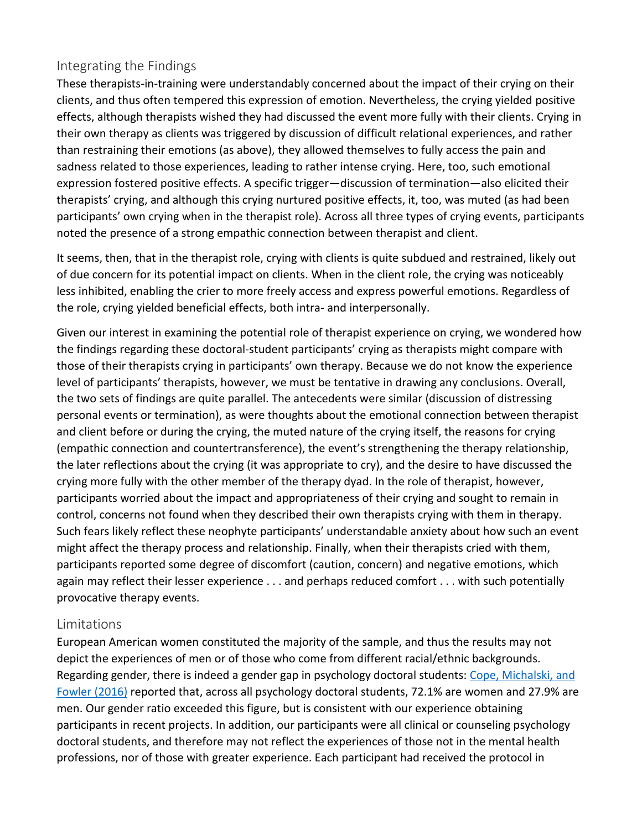## Integrating the Findings

These therapists-in-training were understandably concerned about the impact of their crying on their clients, and thus often tempered this expression of emotion. Nevertheless, the crying yielded positive effects, although therapists wished they had discussed the event more fully with their clients. Crying in their own therapy as clients was triggered by discussion of difficult relational experiences, and rather than restraining their emotions (as above), they allowed themselves to fully access the pain and sadness related to those experiences, leading to rather intense crying. Here, too, such emotional expression fostered positive effects. A specific trigger—discussion of termination—also elicited their therapists' crying, and although this crying nurtured positive effects, it, too, was muted (as had been participants' own crying when in the therapist role). Across all three types of crying events, participants noted the presence of a strong empathic connection between therapist and client.

It seems, then, that in the therapist role, crying with clients is quite subdued and restrained, likely out of due concern for its potential impact on clients. When in the client role, the crying was noticeably less inhibited, enabling the crier to more freely access and express powerful emotions. Regardless of the role, crying yielded beneficial effects, both intra- and interpersonally.

Given our interest in examining the potential role of therapist experience on crying, we wondered how the findings regarding these doctoral-student participants' crying as therapists might compare with those of their therapists crying in participants' own therapy. Because we do not know the experience level of participants' therapists, however, we must be tentative in drawing any conclusions. Overall, the two sets of findings are quite parallel. The antecedents were similar (discussion of distressing personal events or termination), as were thoughts about the emotional connection between therapist and client before or during the crying, the muted nature of the crying itself, the reasons for crying (empathic connection and countertransference), the event's strengthening the therapy relationship, the later reflections about the crying (it was appropriate to cry), and the desire to have discussed the crying more fully with the other member of the therapy dyad. In the role of therapist, however, participants worried about the impact and appropriateness of their crying and sought to remain in control, concerns not found when they described their own therapists crying with them in therapy. Such fears likely reflect these neophyte participants' understandable anxiety about how such an event might affect the therapy process and relationship. Finally, when their therapists cried with them, participants reported some degree of discomfort (caution, concern) and negative emotions, which again may reflect their lesser experience . . . and perhaps reduced comfort . . . with such potentially provocative therapy events.

#### Limitations

European American women constituted the majority of the sample, and thus the results may not depict the experiences of men or of those who come from different racial/ethnic backgrounds. Regarding gender, there is indeed a gender gap in psychology doctoral students: [Cope, Michalski, and](https://0-web-a-ebscohost-com.libus.csd.mu.edu/ehost/detail/detail?vid=0&sid=31a23438-ac1b-4d2c-92d0-63814aa9a694%40sessionmgr4007&bdata=JnNpdGU9ZWhvc3QtbGl2ZQ%3d%3d#c7)  [Fowler \(2016\)](https://0-web-a-ebscohost-com.libus.csd.mu.edu/ehost/detail/detail?vid=0&sid=31a23438-ac1b-4d2c-92d0-63814aa9a694%40sessionmgr4007&bdata=JnNpdGU9ZWhvc3QtbGl2ZQ%3d%3d#c7) reported that, across all psychology doctoral students, 72.1% are women and 27.9% are men. Our gender ratio exceeded this figure, but is consistent with our experience obtaining participants in recent projects. In addition, our participants were all clinical or counseling psychology doctoral students, and therefore may not reflect the experiences of those not in the mental health professions, nor of those with greater experience. Each participant had received the protocol in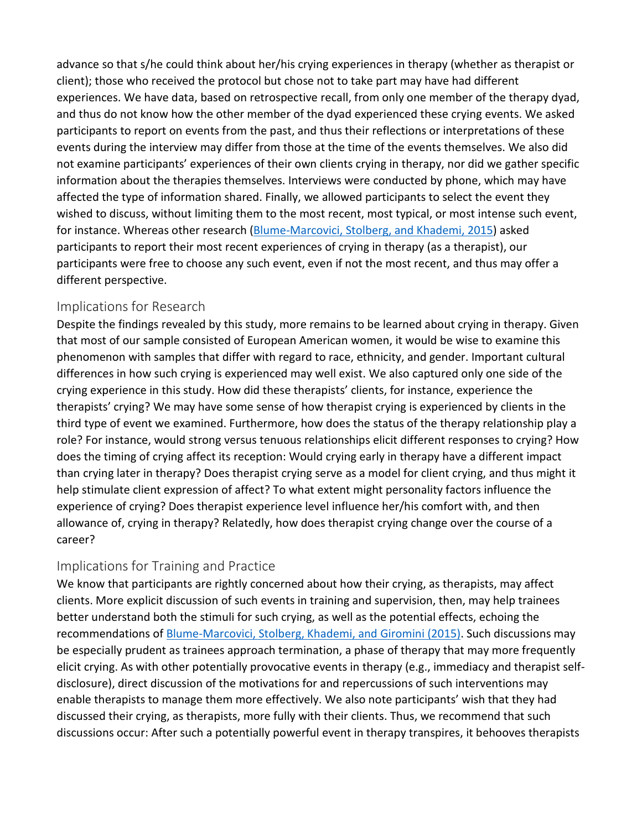advance so that s/he could think about her/his crying experiences in therapy (whether as therapist or client); those who received the protocol but chose not to take part may have had different experiences. We have data, based on retrospective recall, from only one member of the therapy dyad, and thus do not know how the other member of the dyad experienced these crying events. We asked participants to report on events from the past, and thus their reflections or interpretations of these events during the interview may differ from those at the time of the events themselves. We also did not examine participants' experiences of their own clients crying in therapy, nor did we gather specific information about the therapies themselves. Interviews were conducted by phone, which may have affected the type of information shared. Finally, we allowed participants to select the event they wished to discuss, without limiting them to the most recent, most typical, or most intense such event, for instance. Whereas other research [\(Blume-Marcovici, Stolberg, and Khademi, 2015\)](https://0-web-a-ebscohost-com.libus.csd.mu.edu/ehost/detail/detail?vid=0&sid=31a23438-ac1b-4d2c-92d0-63814aa9a694%40sessionmgr4007&bdata=JnNpdGU9ZWhvc3QtbGl2ZQ%3d%3d#c5) asked participants to report their most recent experiences of crying in therapy (as a therapist), our participants were free to choose any such event, even if not the most recent, and thus may offer a different perspective.

## Implications for Research

Despite the findings revealed by this study, more remains to be learned about crying in therapy. Given that most of our sample consisted of European American women, it would be wise to examine this phenomenon with samples that differ with regard to race, ethnicity, and gender. Important cultural differences in how such crying is experienced may well exist. We also captured only one side of the crying experience in this study. How did these therapists' clients, for instance, experience the therapists' crying? We may have some sense of how therapist crying is experienced by clients in the third type of event we examined. Furthermore, how does the status of the therapy relationship play a role? For instance, would strong versus tenuous relationships elicit different responses to crying? How does the timing of crying affect its reception: Would crying early in therapy have a different impact than crying later in therapy? Does therapist crying serve as a model for client crying, and thus might it help stimulate client expression of affect? To what extent might personality factors influence the experience of crying? Does therapist experience level influence her/his comfort with, and then allowance of, crying in therapy? Relatedly, how does therapist crying change over the course of a career?

## Implications for Training and Practice

We know that participants are rightly concerned about how their crying, as therapists, may affect clients. More explicit discussion of such events in training and supervision, then, may help trainees better understand both the stimuli for such crying, as well as the potential effects, echoing the recommendations of **Blume-Marcovici, Stolberg, Khademi, and Giromini (2015)**. Such discussions may be especially prudent as trainees approach termination, a phase of therapy that may more frequently elicit crying. As with other potentially provocative events in therapy (e.g., immediacy and therapist selfdisclosure), direct discussion of the motivations for and repercussions of such interventions may enable therapists to manage them more effectively. We also note participants' wish that they had discussed their crying, as therapists, more fully with their clients. Thus, we recommend that such discussions occur: After such a potentially powerful event in therapy transpires, it behooves therapists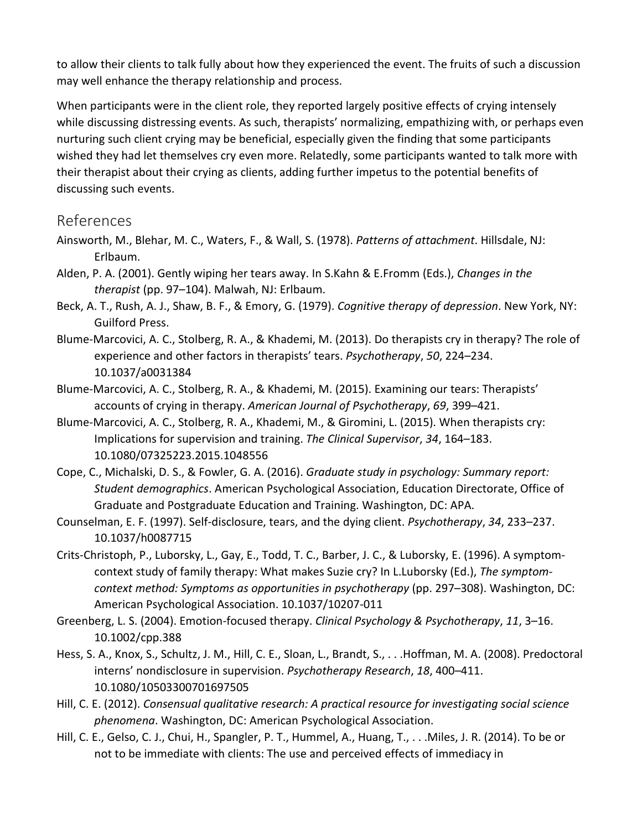to allow their clients to talk fully about how they experienced the event. The fruits of such a discussion may well enhance the therapy relationship and process.

When participants were in the client role, they reported largely positive effects of crying intensely while discussing distressing events. As such, therapists' normalizing, empathizing with, or perhaps even nurturing such client crying may be beneficial, especially given the finding that some participants wished they had let themselves cry even more. Relatedly, some participants wanted to talk more with their therapist about their crying as clients, adding further impetus to the potential benefits of discussing such events.

## [References](https://0-web-a-ebscohost-com.libus.csd.mu.edu/ehost/detail/detail?vid=0&sid=31a23438-ac1b-4d2c-92d0-63814aa9a694%40sessionmgr4007&bdata=JnNpdGU9ZWhvc3QtbGl2ZQ%3d%3d#toc)

- Ainsworth, M., Blehar, M. C., Waters, F., & Wall, S. (1978). *Patterns of attachment*. Hillsdale, NJ: Erlbaum.
- Alden, P. A. (2001). Gently wiping her tears away. In S.Kahn & E.Fromm (Eds.), *Changes in the therapist* (pp. 97–104). Malwah, NJ: Erlbaum.
- Beck, A. T., Rush, A. J., Shaw, B. F., & Emory, G. (1979). *Cognitive therapy of depression*. New York, NY: Guilford Press.
- Blume-Marcovici, A. C., Stolberg, R. A., & Khademi, M. (2013). Do therapists cry in therapy? The role of experience and other factors in therapists' tears. *Psychotherapy*, *50*, 224–234. 10.1037/a0031384
- Blume-Marcovici, A. C., Stolberg, R. A., & Khademi, M. (2015). Examining our tears: Therapists' accounts of crying in therapy. *American Journal of Psychotherapy*, *69*, 399–421.
- Blume-Marcovici, A. C., Stolberg, R. A., Khademi, M., & Giromini, L. (2015). When therapists cry: Implications for supervision and training. *The Clinical Supervisor*, *34*, 164–183. 10.1080/07325223.2015.1048556
- Cope, C., Michalski, D. S., & Fowler, G. A. (2016). *Graduate study in psychology: Summary report: Student demographics*. American Psychological Association, Education Directorate, Office of Graduate and Postgraduate Education and Training. Washington, DC: APA.
- Counselman, E. F. (1997). Self-disclosure, tears, and the dying client. *Psychotherapy*, *34*, 233–237. 10.1037/h0087715
- Crits-Christoph, P., Luborsky, L., Gay, E., Todd, T. C., Barber, J. C., & Luborsky, E. (1996). A symptomcontext study of family therapy: What makes Suzie cry? In L.Luborsky (Ed.), *The symptomcontext method: Symptoms as opportunities in psychotherapy* (pp. 297–308). Washington, DC: American Psychological Association. 10.1037/10207-011
- Greenberg, L. S. (2004). Emotion-focused therapy. *Clinical Psychology & Psychotherapy*, *11*, 3–16. 10.1002/cpp.388
- Hess, S. A., Knox, S., Schultz, J. M., Hill, C. E., Sloan, L., Brandt, S., . . .Hoffman, M. A. (2008). Predoctoral interns' nondisclosure in supervision. *Psychotherapy Research*, *18*, 400–411. 10.1080/10503300701697505
- Hill, C. E. (2012). *Consensual qualitative research: A practical resource for investigating social science phenomena*. Washington, DC: American Psychological Association.
- Hill, C. E., Gelso, C. J., Chui, H., Spangler, P. T., Hummel, A., Huang, T., . . .Miles, J. R. (2014). To be or not to be immediate with clients: The use and perceived effects of immediacy in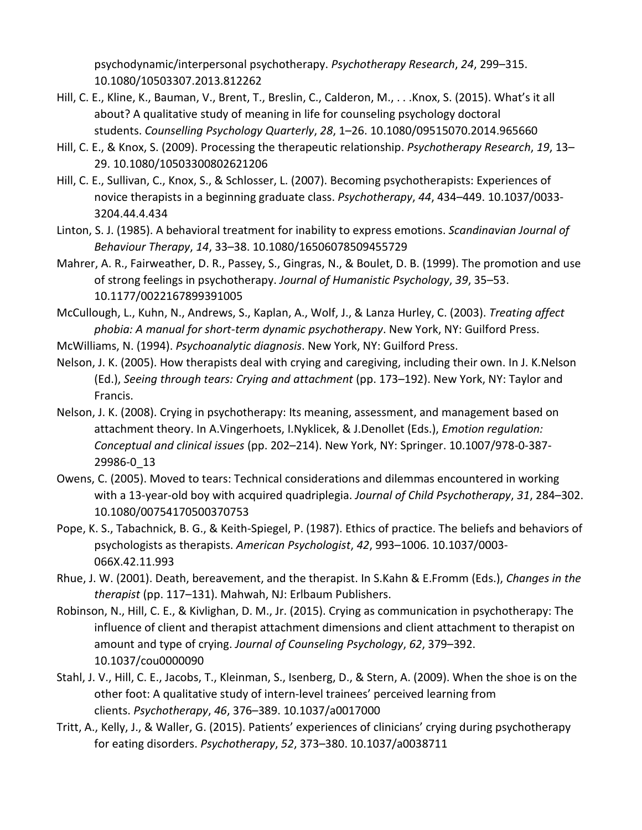psychodynamic/interpersonal psychotherapy. *Psychotherapy Research*, *24*, 299–315. 10.1080/10503307.2013.812262

- Hill, C. E., Kline, K., Bauman, V., Brent, T., Breslin, C., Calderon, M., . . .Knox, S. (2015). What's it all about? A qualitative study of meaning in life for counseling psychology doctoral students. *Counselling Psychology Quarterly*, *28*, 1–26. 10.1080/09515070.2014.965660
- Hill, C. E., & Knox, S. (2009). Processing the therapeutic relationship. *Psychotherapy Research*, *19*, 13– 29. 10.1080/10503300802621206
- Hill, C. E., Sullivan, C., Knox, S., & Schlosser, L. (2007). Becoming psychotherapists: Experiences of novice therapists in a beginning graduate class. *Psychotherapy*, *44*, 434–449. 10.1037/0033- 3204.44.4.434
- Linton, S. J. (1985). A behavioral treatment for inability to express emotions. *Scandinavian Journal of Behaviour Therapy*, *14*, 33–38. 10.1080/16506078509455729
- Mahrer, A. R., Fairweather, D. R., Passey, S., Gingras, N., & Boulet, D. B. (1999). The promotion and use of strong feelings in psychotherapy. *Journal of Humanistic Psychology*, *39*, 35–53. 10.1177/0022167899391005
- McCullough, L., Kuhn, N., Andrews, S., Kaplan, A., Wolf, J., & Lanza Hurley, C. (2003). *Treating affect phobia: A manual for short-term dynamic psychotherapy*. New York, NY: Guilford Press.
- McWilliams, N. (1994). *Psychoanalytic diagnosis*. New York, NY: Guilford Press.
- Nelson, J. K. (2005). How therapists deal with crying and caregiving, including their own. In J. K.Nelson (Ed.), *Seeing through tears: Crying and attachment* (pp. 173–192). New York, NY: Taylor and Francis.
- Nelson, J. K. (2008). Crying in psychotherapy: Its meaning, assessment, and management based on attachment theory. In A.Vingerhoets, I.Nyklicek, & J.Denollet (Eds.), *Emotion regulation: Conceptual and clinical issues* (pp. 202–214). New York, NY: Springer. 10.1007/978-0-387- 29986-0\_13
- Owens, C. (2005). Moved to tears: Technical considerations and dilemmas encountered in working with a 13-year-old boy with acquired quadriplegia. *Journal of Child Psychotherapy*, *31*, 284–302. 10.1080/00754170500370753
- Pope, K. S., Tabachnick, B. G., & Keith-Spiegel, P. (1987). Ethics of practice. The beliefs and behaviors of psychologists as therapists. *American Psychologist*, *42*, 993–1006. 10.1037/0003- 066X.42.11.993
- Rhue, J. W. (2001). Death, bereavement, and the therapist. In S.Kahn & E.Fromm (Eds.), *Changes in the therapist* (pp. 117–131). Mahwah, NJ: Erlbaum Publishers.
- Robinson, N., Hill, C. E., & Kivlighan, D. M., Jr. (2015). Crying as communication in psychotherapy: The influence of client and therapist attachment dimensions and client attachment to therapist on amount and type of crying. *Journal of Counseling Psychology*, *62*, 379–392. 10.1037/cou0000090
- Stahl, J. V., Hill, C. E., Jacobs, T., Kleinman, S., Isenberg, D., & Stern, A. (2009). When the shoe is on the other foot: A qualitative study of intern-level trainees' perceived learning from clients. *Psychotherapy*, *46*, 376–389. 10.1037/a0017000
- Tritt, A., Kelly, J., & Waller, G. (2015). Patients' experiences of clinicians' crying during psychotherapy for eating disorders. *Psychotherapy*, *52*, 373–380. 10.1037/a0038711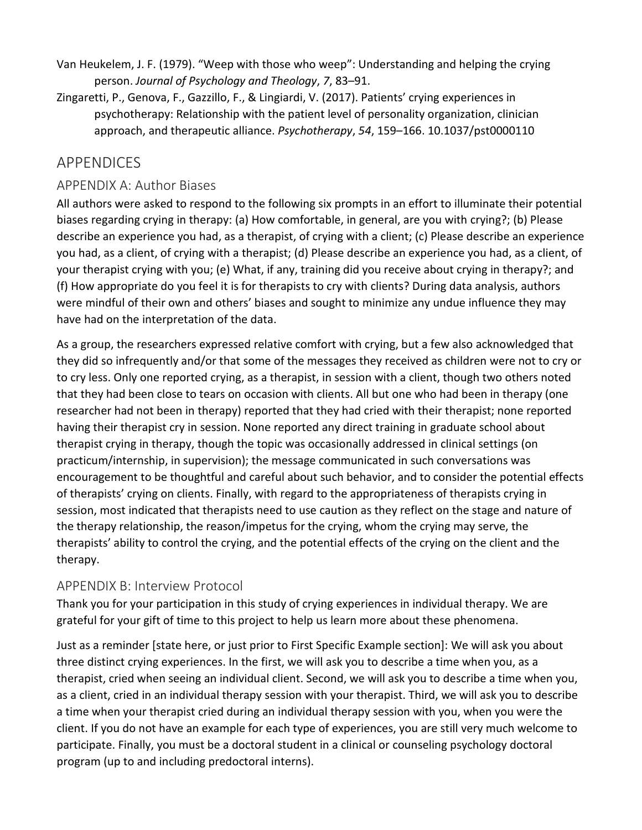- Van Heukelem, J. F. (1979). "Weep with those who weep": Understanding and helping the crying person. *Journal of Psychology and Theology*, *7*, 83–91.
- Zingaretti, P., Genova, F., Gazzillo, F., & Lingiardi, V. (2017). Patients' crying experiences in psychotherapy: Relationship with the patient level of personality organization, clinician approach, and therapeutic alliance. *Psychotherapy*, *54*, 159–166. 10.1037/pst0000110

## [APPENDICES](https://0-web-a-ebscohost-com.libus.csd.mu.edu/ehost/detail/detail?vid=0&sid=31a23438-ac1b-4d2c-92d0-63814aa9a694%40sessionmgr4007&bdata=JnNpdGU9ZWhvc3QtbGl2ZQ%3d%3d#toc)

## APPENDIX A: Author Biases

All authors were asked to respond to the following six prompts in an effort to illuminate their potential biases regarding crying in therapy: (a) How comfortable, in general, are you with crying?; (b) Please describe an experience you had, as a therapist, of crying with a client; (c) Please describe an experience you had, as a client, of crying with a therapist; (d) Please describe an experience you had, as a client, of your therapist crying with you; (e) What, if any, training did you receive about crying in therapy?; and (f) How appropriate do you feel it is for therapists to cry with clients? During data analysis, authors were mindful of their own and others' biases and sought to minimize any undue influence they may have had on the interpretation of the data.

As a group, the researchers expressed relative comfort with crying, but a few also acknowledged that they did so infrequently and/or that some of the messages they received as children were not to cry or to cry less. Only one reported crying, as a therapist, in session with a client, though two others noted that they had been close to tears on occasion with clients. All but one who had been in therapy (one researcher had not been in therapy) reported that they had cried with their therapist; none reported having their therapist cry in session. None reported any direct training in graduate school about therapist crying in therapy, though the topic was occasionally addressed in clinical settings (on practicum/internship, in supervision); the message communicated in such conversations was encouragement to be thoughtful and careful about such behavior, and to consider the potential effects of therapists' crying on clients. Finally, with regard to the appropriateness of therapists crying in session, most indicated that therapists need to use caution as they reflect on the stage and nature of the therapy relationship, the reason/impetus for the crying, whom the crying may serve, the therapists' ability to control the crying, and the potential effects of the crying on the client and the therapy.

#### APPENDIX B: Interview Protocol

Thank you for your participation in this study of crying experiences in individual therapy. We are grateful for your gift of time to this project to help us learn more about these phenomena.

Just as a reminder [state here, or just prior to First Specific Example section]: We will ask you about three distinct crying experiences. In the first, we will ask you to describe a time when you, as a therapist, cried when seeing an individual client. Second, we will ask you to describe a time when you, as a client, cried in an individual therapy session with your therapist. Third, we will ask you to describe a time when your therapist cried during an individual therapy session with you, when you were the client. If you do not have an example for each type of experiences, you are still very much welcome to participate. Finally, you must be a doctoral student in a clinical or counseling psychology doctoral program (up to and including predoctoral interns).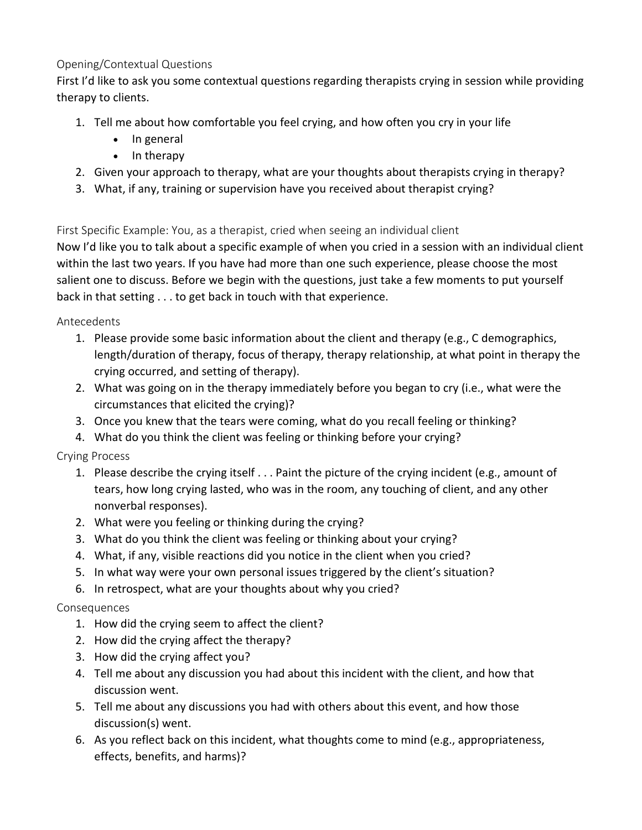#### Opening/Contextual Questions

First I'd like to ask you some contextual questions regarding therapists crying in session while providing therapy to clients.

- 1. Tell me about how comfortable you feel crying, and how often you cry in your life
	- In general
	- In therapy
- 2. Given your approach to therapy, what are your thoughts about therapists crying in therapy?
- 3. What, if any, training or supervision have you received about therapist crying?

First Specific Example: You, as a therapist, cried when seeing an individual client

Now I'd like you to talk about a specific example of when you cried in a session with an individual client within the last two years. If you have had more than one such experience, please choose the most salient one to discuss. Before we begin with the questions, just take a few moments to put yourself back in that setting . . . to get back in touch with that experience.

Antecedents

- 1. Please provide some basic information about the client and therapy (e.g., C demographics, length/duration of therapy, focus of therapy, therapy relationship, at what point in therapy the crying occurred, and setting of therapy).
- 2. What was going on in the therapy immediately before you began to cry (i.e., what were the circumstances that elicited the crying)?
- 3. Once you knew that the tears were coming, what do you recall feeling or thinking?
- 4. What do you think the client was feeling or thinking before your crying?

Crying Process

- 1. Please describe the crying itself . . . Paint the picture of the crying incident (e.g., amount of tears, how long crying lasted, who was in the room, any touching of client, and any other nonverbal responses).
- 2. What were you feeling or thinking during the crying?
- 3. What do you think the client was feeling or thinking about your crying?
- 4. What, if any, visible reactions did you notice in the client when you cried?
- 5. In what way were your own personal issues triggered by the client's situation?
- 6. In retrospect, what are your thoughts about why you cried?

#### Consequences

- 1. How did the crying seem to affect the client?
- 2. How did the crying affect the therapy?
- 3. How did the crying affect you?
- 4. Tell me about any discussion you had about this incident with the client, and how that discussion went.
- 5. Tell me about any discussions you had with others about this event, and how those discussion(s) went.
- 6. As you reflect back on this incident, what thoughts come to mind (e.g., appropriateness, effects, benefits, and harms)?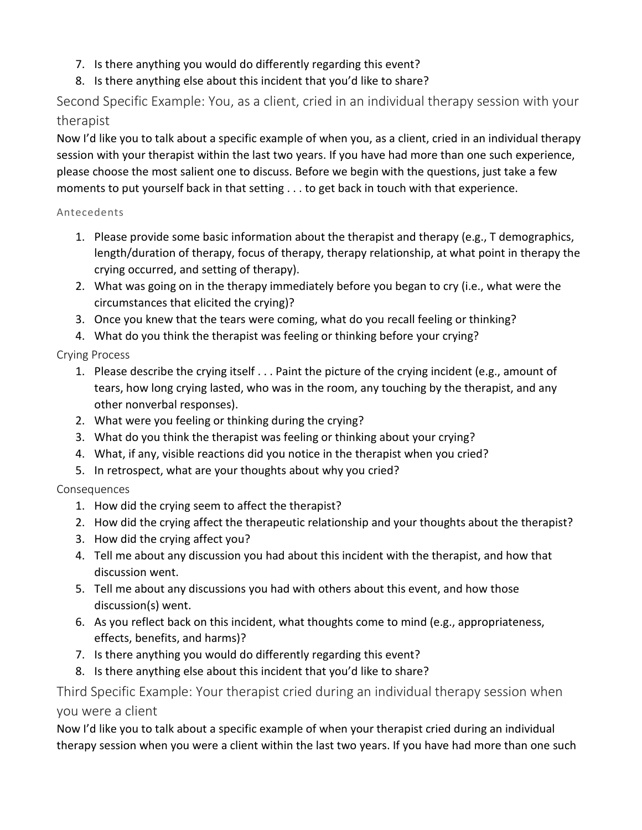- 7. Is there anything you would do differently regarding this event?
- 8. Is there anything else about this incident that you'd like to share?

Second Specific Example: You, as a client, cried in an individual therapy session with your therapist

Now I'd like you to talk about a specific example of when you, as a client, cried in an individual therapy session with your therapist within the last two years. If you have had more than one such experience, please choose the most salient one to discuss. Before we begin with the questions, just take a few moments to put yourself back in that setting . . . to get back in touch with that experience.

#### Antecedents

- 1. Please provide some basic information about the therapist and therapy (e.g., T demographics, length/duration of therapy, focus of therapy, therapy relationship, at what point in therapy the crying occurred, and setting of therapy).
- 2. What was going on in the therapy immediately before you began to cry (i.e., what were the circumstances that elicited the crying)?
- 3. Once you knew that the tears were coming, what do you recall feeling or thinking?
- 4. What do you think the therapist was feeling or thinking before your crying?

#### Crying Process

- 1. Please describe the crying itself . . . Paint the picture of the crying incident (e.g., amount of tears, how long crying lasted, who was in the room, any touching by the therapist, and any other nonverbal responses).
- 2. What were you feeling or thinking during the crying?
- 3. What do you think the therapist was feeling or thinking about your crying?
- 4. What, if any, visible reactions did you notice in the therapist when you cried?
- 5. In retrospect, what are your thoughts about why you cried?

#### Consequences

- 1. How did the crying seem to affect the therapist?
- 2. How did the crying affect the therapeutic relationship and your thoughts about the therapist?
- 3. How did the crying affect you?
- 4. Tell me about any discussion you had about this incident with the therapist, and how that discussion went.
- 5. Tell me about any discussions you had with others about this event, and how those discussion(s) went.
- 6. As you reflect back on this incident, what thoughts come to mind (e.g., appropriateness, effects, benefits, and harms)?
- 7. Is there anything you would do differently regarding this event?
- 8. Is there anything else about this incident that you'd like to share?

## Third Specific Example: Your therapist cried during an individual therapy session when you were a client

Now I'd like you to talk about a specific example of when your therapist cried during an individual therapy session when you were a client within the last two years. If you have had more than one such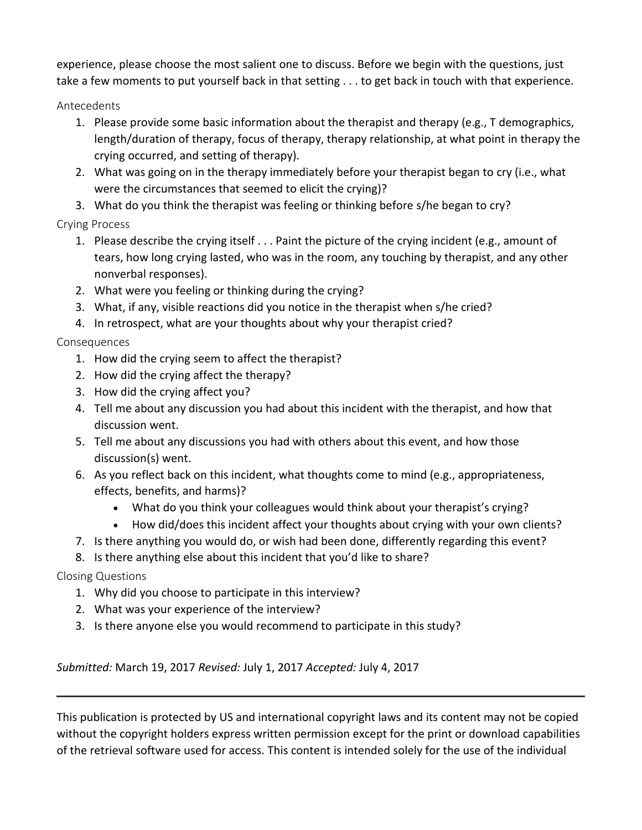experience, please choose the most salient one to discuss. Before we begin with the questions, just take a few moments to put yourself back in that setting . . . to get back in touch with that experience.

Antecedents

- 1. Please provide some basic information about the therapist and therapy (e.g., T demographics, length/duration of therapy, focus of therapy, therapy relationship, at what point in therapy the crying occurred, and setting of therapy).
- 2. What was going on in the therapy immediately before your therapist began to cry (i.e., what were the circumstances that seemed to elicit the crying)?
- 3. What do you think the therapist was feeling or thinking before s/he began to cry?

Crying Process

- 1. Please describe the crying itself . . . Paint the picture of the crying incident (e.g., amount of tears, how long crying lasted, who was in the room, any touching by therapist, and any other nonverbal responses).
- 2. What were you feeling or thinking during the crying?
- 3. What, if any, visible reactions did you notice in the therapist when s/he cried?
- 4. In retrospect, what are your thoughts about why your therapist cried?

Consequences

- 1. How did the crying seem to affect the therapist?
- 2. How did the crying affect the therapy?
- 3. How did the crying affect you?
- 4. Tell me about any discussion you had about this incident with the therapist, and how that discussion went.
- 5. Tell me about any discussions you had with others about this event, and how those discussion(s) went.
- 6. As you reflect back on this incident, what thoughts come to mind (e.g., appropriateness, effects, benefits, and harms)?
	- What do you think your colleagues would think about your therapist's crying?
	- How did/does this incident affect your thoughts about crying with your own clients?
- 7. Is there anything you would do, or wish had been done, differently regarding this event?
- 8. Is there anything else about this incident that you'd like to share?

Closing Questions

- 1. Why did you choose to participate in this interview?
- 2. What was your experience of the interview?
- 3. Is there anyone else you would recommend to participate in this study?

*Submitted:* March 19, 2017 *Revised:* July 1, 2017 *Accepted:* July 4, 2017

This publication is protected by US and international copyright laws and its content may not be copied without the copyright holders express written permission except for the print or download capabilities of the retrieval software used for access. This content is intended solely for the use of the individual